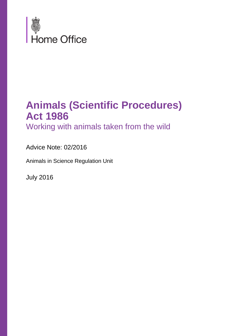

### **Animals (Scientific Procedures) Act 1986**

Working with animals taken from the wild

Advice Note: 02/2016

Animals in Science Regulation Unit

July 2016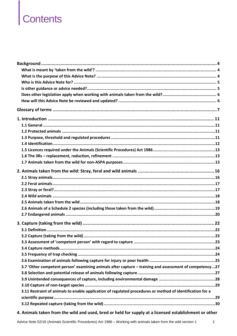# Contents

| 3.7 'Other competent person' examining animals after capture - training and assessment of competency27    |  |
|-----------------------------------------------------------------------------------------------------------|--|
|                                                                                                           |  |
|                                                                                                           |  |
|                                                                                                           |  |
| 3.11 Restraint of animals to enable application of regulated procedures or method of identification for a |  |
|                                                                                                           |  |
|                                                                                                           |  |

#### 4. Animals taken from the wild and used, bred or held for supply at a licensed establishment or other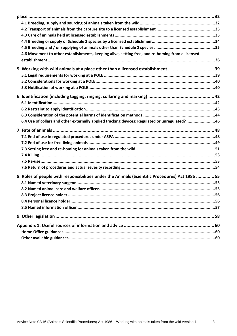| 4.6 Movement to other establishments, keeping alive, setting free, and re-homing from a licensed |  |
|--------------------------------------------------------------------------------------------------|--|
|                                                                                                  |  |
| 5. Working with wild animals at a place other than a licensed establishment  39                  |  |
|                                                                                                  |  |
|                                                                                                  |  |
|                                                                                                  |  |
|                                                                                                  |  |
|                                                                                                  |  |
|                                                                                                  |  |
|                                                                                                  |  |
| 6.4 Use of collars and other externally applied tracking devices: Regulated or unregulated?46    |  |
|                                                                                                  |  |
|                                                                                                  |  |
|                                                                                                  |  |
|                                                                                                  |  |
|                                                                                                  |  |
|                                                                                                  |  |
|                                                                                                  |  |
| 8. Roles of people with responsibilities under the Animals (Scientific Procedures) Act 1986  55  |  |
|                                                                                                  |  |
|                                                                                                  |  |
|                                                                                                  |  |
|                                                                                                  |  |
|                                                                                                  |  |
|                                                                                                  |  |
|                                                                                                  |  |
|                                                                                                  |  |
|                                                                                                  |  |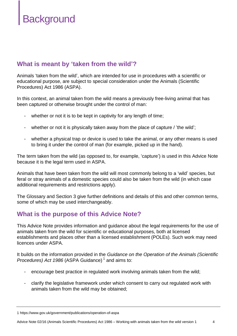## **Background**

#### **What is meant by 'taken from the wild'?**

Animals 'taken from the wild', which are intended for use in procedures with a scientific or educational purpose, are subject to special consideration under the Animals (Scientific Procedures) Act 1986 (ASPA).

In this context, an animal taken from the wild means a previously free-living animal that has been captured or otherwise brought under the control of man:

- whether or not it is to be kept in captivity for any length of time;
- whether or not it is physically taken away from the place of capture / 'the wild';
- whether a physical trap or device is used to take the animal, or any other means is used to bring it under the control of man (for example, picked up in the hand).

The term taken from the wild (as opposed to, for example, 'capture') is used in this Advice Note because it is the legal term used in ASPA.

Animals that have been taken from the wild will most commonly belong to a 'wild' species, but feral or stray animals of a domestic species could also be taken from the wild (in which case additional requirements and restrictions apply).

The Glossary and Section 3 give further definitions and details of this and other common terms, some of which may be used interchangeably.

#### **What is the purpose of this Advice Note?**

This Advice Note provides information and guidance about the legal requirements for the use of animals taken from the wild for scientific or educational purposes, both at licensed establishments and places other than a licensed establishment (POLEs). Such work may need licences under ASPA.

It builds on the information provided in the *Guidance on the Operation of the Animals (Scientific*  Procedures) Act 1986 (ASPA Guidance)<sup>1</sup> and aims to:

- encourage best practice in regulated work involving animals taken from the wild;
- clarify the legislative framework under which consent to carry out regulated work with animals taken from the wild may be obtained;

<sup>1</sup> https://www.gov.uk/government/publications/operation-of-aspa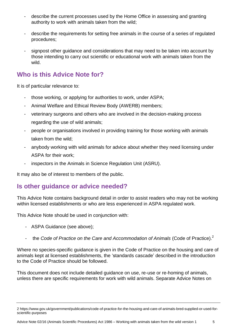- describe the current processes used by the Home Office in assessing and granting authority to work with animals taken from the wild;
- describe the requirements for setting free animals in the course of a series of regulated procedures;
- signpost other guidance and considerations that may need to be taken into account by those intending to carry out scientific or educational work with animals taken from the wild.

#### **Who is this Advice Note for?**

It is of particular relevance to:

- those working, or applying for authorities to work, under ASPA;
- Animal Welfare and Ethical Review Body (AWERB) members;
- veterinary surgeons and others who are involved in the decision-making process regarding the use of wild animals;
- people or organisations involved in providing training for those working with animals taken from the wild;
- anybody working with wild animals for advice about whether they need licensing under ASPA for their work;
- inspectors in the Animals in Science Regulation Unit (ASRU).

It may also be of interest to members of the public.

#### **Is other guidance or advice needed?**

This Advice Note contains background detail in order to assist readers who may not be working within licensed establishments or who are less experienced in ASPA regulated work.

This Advice Note should be used in conjunction with:

- ASPA Guidance (see above);
- the *Code of Practice on the Care and Accommodation of Animals* (Code of Practice).<sup>2</sup>

Where no species-specific guidance is given in the Code of Practice on the housing and care of animals kept at licensed establishments, the 'standards cascade' described in the introduction to the Code of Practice should be followed.

This document does not include detailed guidance on use, re-use or re-homing of animals, unless there are specific requirements for work with wild animals. Separate Advice Notes on

<sup>2</sup> https://www.gov.uk/government/publications/code-of-practice-for-the-housing-and-care-of-animals-bred-supplied-or-used-forscientific-purposes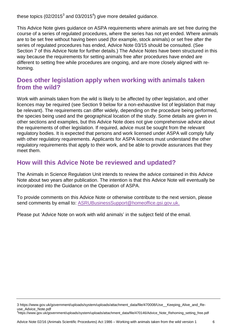these topics (02/2015 $^3$  and 03/2015 $^4$ ) give more detailed guidance.

This Advice Note gives guidance on ASPA requirements where animals are set free during the course of a series of regulated procedures, where the series has not yet ended. Where animals are to be set free without having been used (for example, stock animals) or set free after the series of regulated procedures has ended, Advice Note 03/15 should be consulted. (See Section 7 of this Advice Note for further details.) The Advice Notes have been structured in this way because the requirements for setting animals free after procedures have ended are different to setting free while procedures are ongoing, and are more closely aligned with rehoming.

#### **Does other legislation apply when working with animals taken from the wild?**

Work with animals taken from the wild is likely to be affected by other legislation, and other licences may be required (see Section 9 below for a non-exhaustive list of legislation that may be relevant). The requirements can differ widely, depending on the procedure being performed, the species being used and the geographical location of the study. Some details are given in other sections and examples, but this Advice Note does not give comprehensive advice about the requirements of other legislation. If required, advice must be sought from the relevant regulatory bodies. It is expected that persons and work licensed under ASPA will comply fully with other regulatory requirements. Applicants for ASPA licences must understand the other regulatory requirements that apply to their work, and be able to provide assurances that they meet them.

#### **How will this Advice Note be reviewed and updated?**

The Animals in Science Regulation Unit intends to review the advice contained in this Advice Note about two years after publication. The intention is that this Advice Note will eventually be incorporated into the Guidance on the Operation of ASPA.

To provide comments on this Advice Note or otherwise contribute to the next version, please send comments by email to: [ASRUBusinessSupport@homeoffice.gsi.gov.uk.](mailto:ASRUBusinessSupport@homeoffice.gsi.gov.uk)

Please put 'Advice Note on work with wild animals' in the subject field of the email.

<sup>3</sup> https://www.gov.uk/government/uploads/system/uploads/attachment\_data/file/470008/Use\_\_Keeping\_Alive\_and\_Reuse\_Advice\_Note.pdf

<sup>4</sup> https://www.gov.uk/government/uploads/system/uploads/attachment\_data/file/470146/Advice\_Note\_Rehoming\_setting\_free.pdf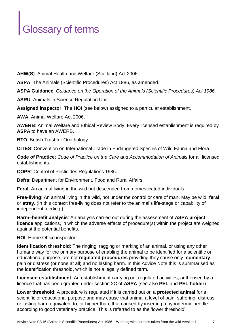## Glossary of terms

**AHW(S)**: Animal Health and Welfare (Scotland) Act 2006.

**ASPA**: The Animals (Scientific Procedures) Act 1986, as amended.

**ASPA Guidance**: *Guidance on the Operation of the Animals (Scientific Procedures) Act 1986.*

**ASRU**: Animals in Science Regulation Unit.

**Assigned inspector**: The **HOI** (see below) assigned to a particular establishment.

**AWA**: Animal Welfare Act 2006.

**AWERB**: Animal Welfare and Ethical Review Body. Every licensed establishment is required by **ASPA** to have an AWERB.

**BTO**: British Trust for Ornithology.

**CITES**: Convention on International Trade in Endangered Species of Wild Fauna and Flora.

**Code of Practice**: *Code of Practice on the Care and Accommodation of Animals* for all licensed establishments.

**COPR**: Control of Pesticides Regulations 1986.

**Defra**: Department for Environment, Food and Rural Affairs.

**Feral**: An animal living in the wild but descended from domesticated individuals

**Free-living**: An animal living in the wild, not under the control or care of man. May be wild, **feral** or **stray**. (In this context free-living does not refer to the animal's life-stage or capability of independent feeding.)

**Harm–benefit analysis**: An analysis carried out during the assessment of **ASPA project licence** applications, in which the adverse effects of procedure(s) within the project are weighed against the potential benefits.

**HOI**: Home Office inspector.

**Identification threshold**: The ringing, tagging or marking of an animal, or using any other humane way for the primary purpose of enabling the animal to be identified for a scientific or educational purpose, are not **regulated procedures** providing they cause only **momentary** pain or distress (or none at all) and no lasting harm. In this Advice Note this is summarised as the identification threshold**,** which is not a legally defined term.

**Licensed establishment**: An establishment carrying out regulated activities, authorised by a licence that has been granted under section 2C of **ASPA** (see also **PEL** and **PEL holder**)

**Lower threshold**: A procedure is regulated if it is carried out on a **protected animal** for a scientific or educational purpose and may cause that animal a level of pain, suffering, distress or lasting harm equivalent to, or higher than, that caused by inserting a hypodermic needle according to good veterinary practice. This is referred to as the 'lower threshold'.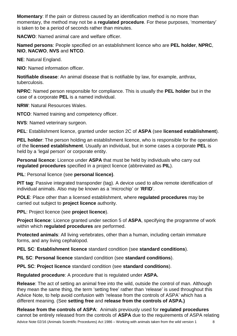**Momentary**: If the pain or distress caused by an identification method is no more than momentary, the method may not be a **regulated procedure**. For these purposes, 'momentary' is taken to be a period of seconds rather than minutes.

**NACWO**: Named animal care and welfare officer.

**Named persons**: People specified on an establishment licence who are **PEL holder**, **NPRC**, **NIO**, **NACWO**, **NVS** and **NTCO**.

**NE**: Natural England.

**NIO**: Named information officer.

**Notifiable disease**: An animal disease that is notifiable by law, for example, anthrax, tuberculosis.

**NPRC**: Named person responsible for compliance. This is usually the **PEL holder** but in the case of a corporate **PEL** is a named individual.

**NRW**: Natural Resources Wales.

**NTCO**: Named training and competency officer.

**NVS**: Named veterinary surgeon.

**PEL**: Establishment licence, granted under section 2C of **ASPA** (see **licensed establishment**).

**PEL holder**: The person holding an establishment licence, who is responsible for the operation of the **licensed establishment**. Usually an individual, but in some cases a corporate **PEL** is held by a 'legal person' or corporate entity.

**Personal licence**: Licence under **ASPA** that must be held by individuals who carry out **regulated procedures** specified in a project licence (abbreviated as **PIL**).

**PIL**: Personal licence (see **personal licence)**.

**PIT tag**: Passive integrated transponder (tag). A device used to allow remote identification of individual animals. Also may be known as a 'microchip' or '**RFID**'.

**POLE**: Place other than a licensed establishment, where **regulated procedures** may be carried out subject to **project licence** authority.

**PPL**: Project licence (see **project licence**).

**Project licence**: Licence granted under section 5 of **ASPA**, specifying the programme of work within which **regulated procedures** are performed.

**Protected animals**: All living vertebrates, other than a human, including certain immature forms, and any living cephalopod.

**PEL SC**: **Establishment licence** standard condition (see **standard conditions**).

**PIL SC**: **Personal licence** standard condition (see **standard conditions**).

**PPL SC**: **Project licence** standard condition (see **standard conditions**).

**Regulated procedure**: A procedure that is regulated under **ASPA.**

**Release**: The act of setting an animal free into the wild, outside the control of man. Although they mean the same thing, the term 'setting free' rather than 'release' is used throughout this Advice Note, to help avoid confusion with 'release from the controls of ASPA' which has a different meaning. (See **setting free** and **release from the controls of ASPA.)**

**Release from the controls of ASPA**: Animals previously used for **regulated procedures** cannot be entirely released from the controls of **ASPA** due to the requirements of ASPA relating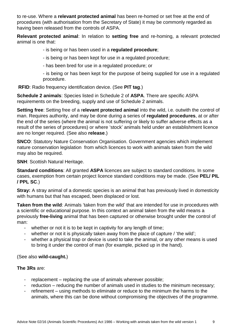to re-use. Where a **relevant protected animal** has been re-homed or set free at the end of procedures (with authorisation from the Secretary of State) it may be commonly regarded as having been released from the controls of ASPA.

**Relevant protected animal**: In relation to **setting free** and re-homing, a relevant protected animal is one that:

- is being or has been used in a **regulated procedure**;
- is being or has been kept for use in a regulated procedure;
- has been bred for use in a regulated procedure; or

- is being or has been kept for the purpose of being supplied for use in a regulated procedure.

**RFID**: Radio frequency identification device. (See **PIT tag**.)

**Schedule 2 animals**: Species listed in Schedule 2 of **ASPA**. There are specific ASPA requirements on the breeding, supply and use of Schedule 2 animals.

**Setting free**: Setting free of a r**elevant protected animal** into the wild, i.e. outwith the control of man. Requires authority, and may be done during a series of **regulated procedures**, at or after the end of the series (where the animal is not suffering or likely to suffer adverse effects as a result of the series of procedures) or where 'stock' animals held under an establishment licence are no longer required. (See also **release**.)

**SNCO**: Statutory Nature Conservation Organisation. Government agencies which implement nature conservation legislation from which licences to work with animals taken from the wild may also be required.

**SNH: Scottish Natural Heritage.** 

**Standard conditions**: All granted **ASPA** licences are subject to standard conditions. In some cases, exemption from certain project licence standard conditions may be made. (See **PEL/ PIL / PPL SC**.)

**Stray:** A stray animal of a domestic species is an animal that has previously lived in domesticity with humans but that has escaped, been displaced or lost.

**Taken from the wild**: Animals 'taken from the wild' that are intended for use in procedures with a scientific or educational purpose. In this context an animal taken from the wild means a previously **free-living** animal that has been captured or otherwise brought under the control of man:

- whether or not it is to be kept in captivity for any length of time;
- whether or not it is physically taken away from the place of capture / 'the wild';
- whether a physical trap or device is used to take the animal, or any other means is used to bring it under the control of man (for example, picked up in the hand).

(See also **wild-caught.**)

#### **The 3Rs** are:

- replacement replacing the use of animals wherever possible;
- reduction reducing the number of animals used in studies to the minimum necessary;
- refinement using methods to eliminate or reduce to the minimum the harms to the animals, where this can be done without compromising the objectives of the programme.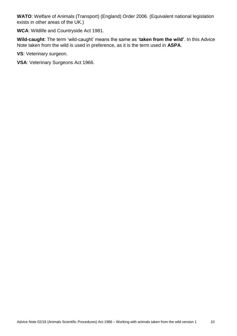**WATO**: Welfare of Animals (Transport) (England) Order 2006. (Equivalent national legislation exists in other areas of the UK.)

**WCA**: Wildlife and Countryside Act 1981.

**Wild-caught**: The term 'wild-caught' means the same as '**taken from the wild'**. In this Advice Note taken from the wild is used in preference, as it is the term used in **ASPA**.

**VS**: Veterinary surgeon.

**VSA**: Veterinary Surgeons Act 1966.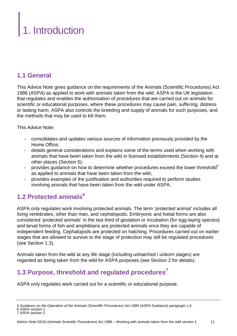## . Introduction

#### **1.1 General**

This Advice Note gives guidance on the requirements of the Animals (Scientific Procedures) Act 1986 (ASPA) as applied to work with animals taken from the wild. ASPA is the UK legislation that regulates and enables the authorisation of procedures that are carried out on animals for scientific or educational purposes, where these procedures may cause pain, suffering, distress or lasting harm. ASPA also controls the breeding and supply of animals for such purposes, and the methods that may be used to kill them.

This Advice Note:

- consolidates and updates various sources of information previously provided by the Home Office;
- details general considerations and explains some of the terms used when working with animals that have been taken from the wild in licensed establishments (Section 4) and at other places (Section 5);
- provides guidance on how to determine whether procedures exceed the lower threshold<sup>5</sup> as applied to animals that have been taken from the wild;
- provides examples of the justification and authorities required to perform studies involving animals that have been taken from the wild under ASPA.

#### **1.2 Protected animals<sup>6</sup>**

ASPA only regulates work involving protected animals. The term 'protected animal' includes all living vertebrates, other than man, and cephalopods. Embryonic and foetal forms are also considered 'protected animals' in the last third of gestation or incubation (for egg-laying species) and larval forms of fish and amphibians are protected animals once they are capable of independent feeding. Cephalopods are protected on hatching. Procedures carried out on earlier stages that are allowed to survive to the stage of protection may still be regulated procedures (see Section 1.3).

Animals taken from the wild at any life stage (including unhatched / unborn stages) are regarded as being taken from the wild for ASPA purposes (see Section 2 for details).

#### **1.3 Purpose, threshold and regulated procedures<sup>7</sup>**

ASPA only regulates work carried out for a scientific or educational purpose.

<sup>5</sup> *Guidance on the Operation of the Animals (Scientific Procedures) Act 1986* (ASPA Guidance) paragraph 1.6. 6 ASPA section 1.

<sup>7</sup> ASPA section 2.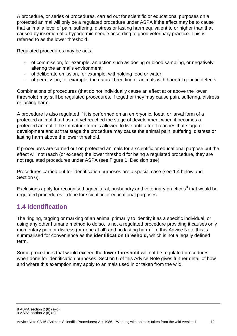A procedure, or series of procedures, carried out for scientific or educational purposes on a protected animal will only be a regulated procedure under ASPA if the effect may be to cause that animal a level of pain, suffering, distress or lasting harm equivalent to or higher than that caused by insertion of a hypodermic needle according to good veterinary practice. This is referred to as the lower threshold.

Regulated procedures may be acts:

- of commission, for example, an action such as dosing or blood sampling, or negatively altering the animal's environment;
- of deliberate omission, for example, withholding food or water;
- of permission, for example, the natural breeding of animals with harmful genetic defects.

Combinations of procedures (that do not individually cause an effect at or above the lower threshold) may still be regulated procedures, if together they may cause pain, suffering, distress or lasting harm.

A procedure is also regulated if it is performed on an embryonic, foetal or larval form of a protected animal that has not yet reached the stage of development when it becomes a protected animal if the immature form is allowed to live until after it reaches that stage of development and at that stage the procedure may cause the animal pain, suffering, distress or lasting harm above the lower threshold.

If procedures are carried out on protected animals for a scientific or educational purpose but the effect will not reach (or exceed) the lower threshold for being a regulated procedure, they are not regulated procedures under ASPA (see Figure 1: Decision tree)

Procedures carried out for identification purposes are a special case (see 1.4 below and Section 6).

Exclusions apply for recognised agricultural, husbandry and veterinary practices<sup>8</sup> that would be regulated procedures if done for scientific or educational purposes.

#### **1.4 Identification**

The ringing, tagging or marking of an animal primarily to identify it as a specific individual, or using any other humane method to do so, is not a regulated procedure providing it causes only momentary pain or distress (or none at all) and no lasting harm.<sup>9</sup> In this Advice Note this is summarised for convenience as the **identification threshold,** which is not a legally defined term.

Some procedures that would exceed the **lower threshold** will not be regulated procedures when done for identification purposes. Section 6 of this Advice Note gives further detail of how and where this exemption may apply to animals used in or taken from the wild.

<sup>8</sup> ASPA section 2 (8) (a–d).

<sup>9</sup> ASPA section 2  $(8)$   $(e)$ .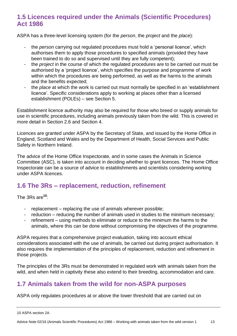#### **1.5 Licences required under the Animals (Scientific Procedures) Act 1986**

ASPA has a three-level licensing system (for the *person*, the *project* and the *place*):

- the *person* carrying out regulated procedures must hold a 'personal licence', which authorises them to apply those procedures to specified animals (provided they have been trained to do so and supervised until they are fully competent);
- the *project* in the course of which the regulated procedures are to be carried out must be authorised by a 'project licence', which specifies the purpose and programme of work within which the procedures are being performed, as well as the harms to the animals and the benefits expected;
- the *place* at which the work is carried out must normally be specified in an 'establishment licence'. Specific considerations apply to working at places other than a licensed establishment (POLEs) – see Section 5.

Establishment licence authority may also be required for those who breed or supply animals for use in scientific procedures, including animals previously taken from the wild. This is covered in more detail in Section 2.6 and Section 4.

Licences are granted under ASPA by the Secretary of State, and issued by the Home Office in England, Scotland and Wales and by the Department of Health, Social Services and Public Safety in Northern Ireland.

The advice of the Home Office Inspectorate, and in some cases the Animals in Science Committee (ASC), is taken into account in deciding whether to grant licences. The Home Office Inspectorate can be a source of advice to establishments and scientists considering working under ASPA licences.

#### **1.6 The 3Rs – replacement, reduction, refinement**

The 3Rs are**<sup>10</sup>**:

- replacement replacing the use of animals wherever possible;
- reduction reducing the number of animals used in studies to the minimum necessary;
- refinement using methods to eliminate or reduce to the minimum the harms to the animals, where this can be done without compromising the objectives of the programme.

ASPA requires that a comprehensive project evaluation, taking into account ethical considerations associated with the use of animals, be carried out during project authorisation. It also requires the implementation of the principles of replacement, reduction and refinement in those projects.

The principles of the 3Rs must be demonstrated in regulated work with animals taken from the wild, and when held in captivity these also extend to their breeding, accommodation and care.

#### **1.7 Animals taken from the wild for non-ASPA purposes**

ASPA only regulates procedures at or above the lower threshold that are carried out on

<sup>10</sup> ASPA section 2A.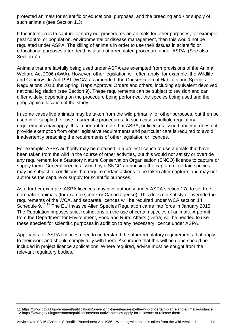protected animals for scientific or educational purposes, and the breeding and / or supply of such animals (see Section 1.3).

If the intention is to capture or carry out procedures on animals for other purposes, for example, pest control or population, environmental or disease management, then this would not be regulated under ASPA. The killing of animals in order to use their tissues in scientific or educational purposes after death is also not a regulated procedure under ASPA. (See also Section 7.)

Animals that are lawfully being used under ASPA are exempted from provisions of the Animal Welfare Act 2006 (AWA). However, other legislation will often apply, for example, the Wildlife and Countryside Act 1981 (WCA) as amended, the Conservation of Habitats and Species Regulations 2010, the Spring Traps Approval Orders and others, including equivalent devolved national legislation (see Section 9). These requirements can be subject to revision and can differ widely, depending on the procedure being performed, the species being used and the geographical location of the study.

In some cases live animals may be taken from the wild primarily for other purposes, but then be used in or supplied for use in scientific procedures. In such cases multiple regulatory requirements may apply. It is important to note that ASPA, or licences issued under it, does not provide exemption from other legislative requirements and particular care is required to avoid inadvertently breaching the requirements of other legislation or licences.

For example, ASPA authority may be obtained in a project licence to use animals that have been taken from the wild in the course of other activities, but this would not satisfy or override any requirement for a Statutory Nature Conservation Organisation (SNCO) licence to capture or supply them. General licences issued by a SNCO authorising the capture of certain species may be subject to conditions that require certain actions to be taken after capture, and may not authorise the capture or supply for scientific purposes.

As a further example, ASPA licences may give authority under ASPA section 17a to set free non-native animals (for example, mink or Canada geese). This does not satisfy or override the requirements of the WCA, and separate licences will be required under WCA section 14, Schedule 9.<sup>11,12</sup> The EU Invasive Alien Species Regulation came into force in January 2015. The Regulation imposes strict restrictions on the use of certain species of animals. A permit from the Department for Environment, Food and Rural Affairs (Defra) will be needed to use these species for scientific purposes in addition to any necessary licence under ASPA.

Applicants for ASPA licences need to understand the other regulatory requirements that apply to their work and should comply fully with them. Assurance that this will be done should be included in project licence applications. Where required, advice must be sought from the relevant regulatory bodies.

<sup>11</sup> https://www.gov.uk/government/publications/preventing-the-release-into-the-wild-of-certain-plants-and-animals-guidance 12 https://www.gov.uk/government/publications/non-native-species-apply-for-a-licence-to-release-them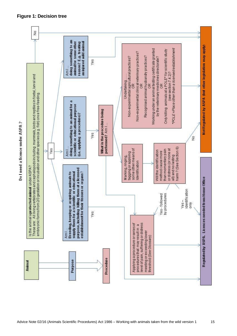

#### **Figure 1: Decision tree**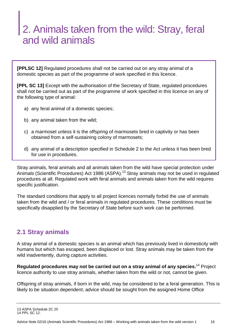## 2. Animals taken from the wild: Stray, feral and wild animals

**[PPLSC 12]** Regulated procedures shall not be carried out on any stray animal of a domestic species as part of the programme of work specified in this licence.

**[PPL SC 13]** Except with the authorisation of the Secretary of State, regulated procedures shall not be carried out as part of the programme of work specified in this licence on any of the following type of animal:

- a) any feral animal of a domestic species;
- b) any animal taken from the wild;
- c) a marmoset unless it is the offspring of marmosets bred in captivity or has been obtained from a self-sustaining colony of marmosets;
- d) any animal of a description specified in Schedule 2 to the Act unless it has been bred for use in procedures.

Stray animals, feral animals and all animals taken from the wild have special protection under Animals (Scientific Procedures) Act 1986 (ASPA).<sup>13</sup> Stray animals may not be used in regulated procedures at all. Regulated work with feral animals and animals taken from the wild requires specific justification.

The standard conditions that apply to all project licences normally forbid the use of animals taken from the wild and / or feral animals in regulated procedures. These conditions must be specifically disapplied by the Secretary of State before such work can be performed.

#### **2.1 Stray animals**

A stray animal of a domestic species is an animal which has previously lived in domesticity with humans but which has escaped, been displaced or lost. Stray animals may be taken from the wild inadvertently, during capture activities.

**Regulated procedures may not be carried out on a stray animal of any species.**<sup>14</sup> Project licence authority to use stray animals, whether taken from the wild or not, cannot be given.

Offspring of stray animals, if born in the wild, may be considered to be a feral generation. This is likely to be situation dependent; advice should be sought from the assigned Home Office

<sup>13</sup> ASPA Schedule 2C 25 14 PPL SC 12.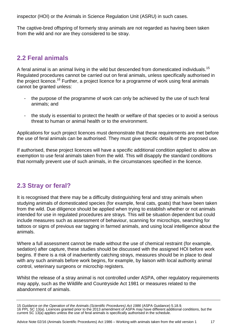inspector (HOI) or the Animals in Science Regulation Unit (ASRU) in such cases.

The captive-bred offspring of formerly stray animals are not regarded as having been taken from the wild and nor are they considered to be stray.

#### **2.2 Feral animals**

A feral animal is an animal living in the wild but descended from domesticated individuals.<sup>15</sup> Regulated procedures cannot be carried out on feral animals, unless specifically authorised in the project licence.<sup>16</sup> Further, a project licence for a programme of work using feral animals cannot be granted unless:

- the purpose of the programme of work can only be achieved by the use of such feral animals; and
- the study is essential to protect the health or welfare of that species or to avoid a serious threat to human or animal health or to the environment.

Applications for such project licences must demonstrate that these requirements are met before the use of feral animals can be authorised. They must give specific details of the proposed use.

If authorised, these project licences will have a specific additional condition applied to allow an exemption to use feral animals taken from the wild. This will disapply the standard conditions that normally prevent use of such animals, in the circumstances specified in the licence.

#### **2.3 Stray or feral?**

It is recognised that there may be a difficulty distinguishing feral and stray animals when studying animals of domesticated species (for example, feral cats, goats) that have been taken from the wild. Due diligence should be applied when trying to establish whether or not animals intended for use in regulated procedures are strays. This will be situation dependent but could include measures such as assessment of behaviour, scanning for microchips, searching for tattoos or signs of previous ear tagging in farmed animals, and using local intelligence about the animals.

Where a full assessment cannot be made without the use of chemical restraint (for example, sedation) after capture, these studies should be discussed with the assigned HOI before work begins. If there is a risk of inadvertently catching strays, measures should be in place to deal with any such animals before work begins, for example, by liaison with local authority animal control, veterinary surgeons or microchip registers.

Whilst the release of a stray animal is not controlled under ASPA, other regulatory requirements may apply, such as the Wildlife and Countryside Act 1981 or measures related to the abandonment of animals.

<sup>15</sup> *Guidance on the Operation of the Animals (Scientific Procedures) Act 1986* (ASPA Guidance) 5.18.9. 16 PPL SC 13(a). Licences granted prior to the 2013 amendment of ASPA may have different additional conditions, but the current SC 13(a) applies unless the use of feral animals is specifically authorised in the schedule.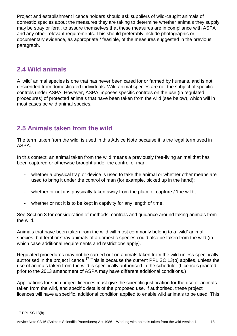Project and establishment licence holders should ask suppliers of wild-caught animals of domestic species about the measures they are taking to determine whether animals they supply may be stray or feral, to assure themselves that these measures are in compliance with ASPA and any other relevant requirements. This should preferably include photographic or documentary evidence, as appropriate / feasible, of the measures suggested in the previous paragraph.

#### **2.4 Wild animals**

A 'wild' animal species is one that has never been cared for or farmed by humans, and is not descended from domesticated individuals. Wild animal species are not the subject of specific controls under ASPA. However, ASPA imposes specific controls on the use (in regulated procedures) of protected animals that have been taken from the wild (see below), which will in most cases be wild animal species.

#### **2.5 Animals taken from the wild**

The term 'taken from the wild' is used in this Advice Note because it is the legal term used in ASPA.

In this context, an animal taken from the wild means a previously free-living animal that has been captured or otherwise brought under the control of man:

- whether a physical trap or device is used to take the animal or whether other means are used to bring it under the control of man (for example, picked up in the hand);
- whether or not it is physically taken away from the place of capture / 'the wild';
- whether or not it is to be kept in captivity for any length of time.

See Section 3 for consideration of methods, controls and guidance around taking animals from the wild.

Animals that have been taken from the wild will most commonly belong to a 'wild' animal species, but feral or stray animals of a domestic species could also be taken from the wild (in which case additional requirements and restrictions apply).

Regulated procedures may not be carried out on animals taken from the wild unless specifically authorised in the project licence.<sup>17</sup> This is because the current PPL SC 13(b) applies, unless the use of animals taken from the wild is specifically authorised in the schedule. (Licences granted prior to the 2013 amendment of ASPA may have different additional conditions.)

Applications for such project licences must give the scientific justification for the use of animals taken from the wild, and specific details of the proposed use. If authorised, these project licences will have a specific, additional condition applied to enable wild animals to be used. This

<sup>17</sup> PPL SC 13(b).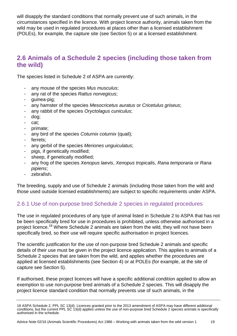will disapply the standard conditions that normally prevent use of such animals, in the circumstances specified in the licence. With project licence authority, animals taken from the wild may be used in regulated procedures at places other than a licensed establishment (POLEs), for example, the capture site (see Section 5) or at a licensed establishment.

#### **2.6 Animals of a Schedule 2 species (including those taken from the wild)**

The species listed in Schedule 2 of ASPA are currently:

- any mouse of the species *Mus musculus*;
- any rat of the species *Rattus norvegicus*;
- guinea-pig;
- any hamster of the species *Mesocricetus auratus* or *Cricetulus griseus*;
- any rabbit of the species *Oryctolagus cuniculus*;
- dog;
- cat;
- primate;
- any bird of the species *Coturnix coturnix* (quail);
- ferrets:
- any gerbil of the species *Meriones unguiculatus*;
- pigs, if genetically modified;
- sheep, if genetically modified;
- any frog of the species *Xenopus laevis*, *Xenopus tropicalis*, *Rana temporaria* or *Rana pipiens*;
- zebrafish.

The breeding, supply and use of Schedule 2 animals (including those taken from the wild and those used outside licensed establishments) are subject to specific requirements under ASPA.

#### 2.6.1 Use of non-purpose bred Schedule 2 species in regulated procedures

The use in regulated procedures of any type of animal listed in Schedule 2 to ASPA that has not be been specifically bred for use in procedures is prohibited, unless otherwise authorised in a project licence.<sup>18</sup> Where Schedule 2 animals are taken from the wild, they will not have been specifically bred, so their use will require specific authorisation in project licences.

The scientific justification for the use of non-purpose bred Schedule 2 animals and specific details of their use must be given in the project licence application. This applies to animals of a Schedule 2 species that are taken from the wild, and applies whether the procedures are applied at licensed establishments (see Section 4) or at POLEs (for example, at the site of capture see Section 5).

If authorised, these project licences will have a specific additional condition applied to allow an exemption to use non-purpose bred animals of a Schedule 2 species. This will disapply the project licence standard condition that normally prevents use of such animals, in the

<sup>18</sup> ASPA Schedule 2, PPL SC 13(d). Licences granted prior to the 2013 amendment of ASPA may have different additional conditions, but the current PPL SC 13(d) applies unless the use of non-purpose bred Schedule 2 species animals is specifically authorised in the schedule.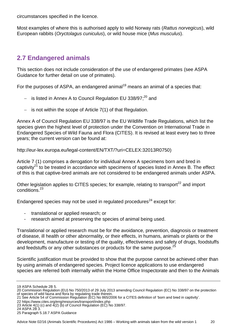circumstances specified in the licence.

Most examples of where this is authorised apply to wild Norway rats (*Rattus norvegicus*), wild European rabbits (*Oryctolagus cuniculus*), or wild house mice (*Mus musculus*).

#### **2.7 Endangered animals**

This section does not include consideration of the use of endangered primates (see ASPA Guidance for further detail on use of primates).

For the purposes of ASPA, an endangered animal<sup>19</sup> means an animal of a species that:

- $-$  is listed in Annex A to Council Regulation EU 338/97; $^{20}$  and
- $-$  is not within the scope of Article 7(1) of that Regulation.

Annex A of Council Regulation EU 338/97 is the EU Wildlife Trade Regulations, which list the species given the highest level of protection under the Convention on International Trade in Endangered Species of Wild Fauna and Flora (CITES). It is revised at least every two to three years; the current version can be found at:

[http://eur-lex.europa.eu/legal-content/EN/TXT/?uri=CELEX:32013R0750\)](http://eur-lex.europa.eu/legal-content/EN/TXT/?uri=CELEX:32013R0750)

Article 7 (1) comprises a derogation for individual Annex A specimens born and bred in captivity<sup>21</sup> to be treated in accordance with specimens of species listed in Annex B. The effect of this is that captive-bred animals are not considered to be endangered animals under ASPA.

Other legislation applies to CITES species; for example, relating to transport<sup>22</sup> and import conditions. 23

Endangered species may not be used in regulated procedures<sup>24</sup> except for:

- translational or applied research; or
- research aimed at preserving the species of animal being used.

Translational or applied research must be for the avoidance, prevention, diagnosis or treatment of disease, ill health or other abnormality, or their effects, in humans, animals or plants or the development, manufacture or testing of the quality, effectiveness and safety of drugs, foodstuffs and feedstuffs or any other substances or products for the same purpose.<sup>25</sup>

Scientific justification must be provided to show that the purpose cannot be achieved other than by using animals of endangered species. Project licence applications to use endangered species are referred both internally within the Home Office Inspectorate and then to the Animals

22 https://www.cites.org/eng/resources/transport/index.php

<sup>19</sup> ASPA Schedule 2B 5.

<sup>20</sup> Commission Regulation (EU) No 750/2013 of 29 July 2013 amending Council Regulation (EC) No 338/97 on the protection of species of wild fauna and flora by regulating trade therein.

<sup>21</sup> See Article 54 of Commission Regulation (EC) No 865/2006 for a CITES definition of 'born and bred in captivity'.

<sup>23</sup> Article  $4(1)$  (c) and  $4(2)$  (b) of Council Regulation (EC) No 338/97.

<sup>24</sup> ASPA 2B 3.

<sup>25</sup> Paragraph 5.18.7 ASPA Guidance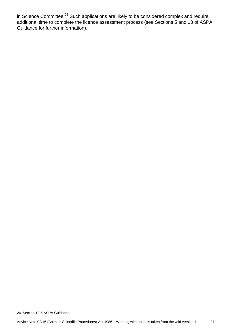in Science Committee.<sup>26</sup> Such applications are likely to be considered complex and require additional time to complete the licence assessment process (see Sections 5 and 13 of ASPA Guidance for further information).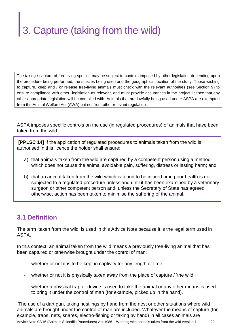## 3. Capture (taking from the wild)

The taking / capture of free-living species may be subject to controls imposed by other legislation depending upon the procedure being performed, the species being used and the geographical location of the study. Those wishing to capture, keep and / or release free-living animals must check with the relevant authorities (see Section 9) to ensure compliance with other legislation as relevant, and must provide assurances in the project licence that any other appropriate legislation will be complied with. Animals that are lawfully being used under ASPA are exempted from the Animal Welfare Act (AWA) but not from other relevant regulation.

ASPA imposes specific controls on the use (in regulated procedures) of animals that have been taken from the wild.

**[PPLSC 14]** If the application of regulated procedures to animals taken from the wild is authorised in this licence the holder shall ensure:

- a) that animals taken from the wild are captured by a competent person using a method which does not cause the animal avoidable pain, suffering, distress or lasting harm; and
- b) that an animal taken from the wild which is found to be injured or in poor health is not subjected to a regulated procedure unless and until it has been examined by a veterinary surgeon or other competent person and, unless the Secretary of State has agreed otherwise, action has been taken to minimise the suffering of the animal.

#### **3.1 Definition**

The term 'taken from the wild' is used in this Advice Note because it is the legal term used in ASPA.

In this context, an animal taken from the wild means a previously free-living animal that has been captured or otherwise brought under the control of man:

- whether or not it is to be kept in captivity for any length of time;
- whether or not it is physically taken away from the place of capture / 'the wild';
- whether a physical trap or device is used to take the animal or any other means is used to bring it under the control of man (for example, picked up in the hand).

Advice Note 02/16 (Animals Scientific Procedures) Act 1986 – Working with animals taken from the wild version 1 22 The use of a dart gun, taking nestlings by hand from the nest or other situations where wild animals are brought under the control of man are included. Whatever the means of capture (for example, traps, nets, snares, electro-fishing or taking by hand) in all cases animals are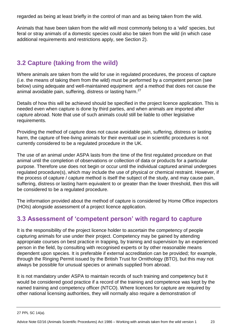regarded as being at least briefly in the control of man and as being taken from the wild.

Animals that have been taken from the wild will most commonly belong to a 'wild' species, but feral or stray animals of a domestic species could also be taken from the wild (in which case additional requirements and restrictions apply, see Section 2).

#### **3.2 Capture (taking from the wild)**

Where animals are taken from the wild for use in regulated procedures, the process of capture (i.e. the means of taking them from the wild) must be performed by a competent person (see below) using adequate and well-maintained equipment and a method that does not cause the animal avoidable pain, suffering, distress or lasting harm.<sup>27</sup>

Details of how this will be achieved should be specified in the project licence application. This is needed even when capture is done by third parties, and when animals are imported after capture abroad. Note that use of such animals could still be liable to other legislative requirements.

Providing the method of capture does not cause avoidable pain, suffering, distress or lasting harm, the capture of free-living animals for their eventual use in scientific procedures is not currently considered to be a regulated procedure in the UK.

The use of an animal under ASPA lasts from the time of the first regulated procedure on that animal until the completion of observations or collection of data or products for a particular purpose. Therefore use does not begin or occur until the individual captured animal undergoes regulated procedure(s), which may include the use of physical or chemical restraint. However, if the process of capture / capture method is itself the subject of the study, and may cause pain, suffering, distress or lasting harm equivalent to or greater than the lower threshold, then this will be considered to be a regulated procedure.

The information provided about the method of capture is considered by Home Office inspectors (HOIs) alongside assessment of a project licence application.

#### **3.3 Assessment of 'competent person' with regard to capture**

It is the responsibility of the project licence holder to ascertain the competency of people capturing animals for use under their project. Competency may be gained by attending appropriate courses on best practice in trapping, by training and supervision by an experienced person in the field, by consulting with recognised experts or by other reasonable means dependent upon species. It is preferable if external accreditation can be provided; for example, through the Ringing Permit issued by the British Trust for Ornithology (BTO), but this may not always be possible for unusual species or animals supplied from abroad.

It is not mandatory under ASPA to maintain records of such training and competency but it would be considered good practice if a record of the training and competence was kept by the named training and competency officer (NTCO). Where licences for capture are required by other national licensing authorities, they will normally also require a demonstration of

<sup>27</sup> PPL SC 14(a).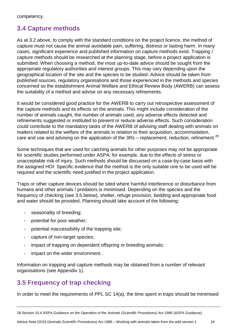#### **3.4 Capture methods**

As at 3.2 above, to comply with the standard conditions on the project licence, the method of capture must not cause the animal avoidable pain, suffering, distress or lasting harm. In many cases, significant experience and published information on capture methods exist. Trapping / capture methods should be researched at the planning stage, before a project application is submitted. When choosing a method, the most up-to-date advice should be sought from the appropriate regulatory authorities and interest groups. This may vary depending upon the geographical location of the site and the species to be studied. Advice should be taken from published sources, regulatory organisations and those experienced in the methods and species concerned so the establishment Animal Welfare and Ethical Review Body (AWERB) can assess the suitability of a method and advise on any necessary refinements.

It would be considered good practice for the AWERB to carry out retrospective assessment of the capture methods and its effects on the animals. This might include consideration of the number of animals caught, the number of animals used, any adverse effects detected and refinements suggested or instituted to prevent or reduce adverse effects. Such consideration could contribute to the mandatory tasks of the AWERB of advising staff dealing with animals on matters related to the welfare of the animals in relation to their acquisition, accommodation, care and use and advising on the application of the  $3Rs$  – replacement, reduction, refinement.<sup>28</sup>

Some techniques that are used for catching animals for other purposes may not be appropriate for scientific studies performed under ASPA, for example, due to the effects of stress or unacceptable risk of injury. Such methods should be discussed on a case-by-case basis with the assigned HOI. Specific evidence that the method is the only suitable one to be used will be required and the scientific need justified in the project application.

Traps or other capture devices should be sited where harmful interference or disturbance from humans and other animals / predators is minimised. Depending on the species and the frequency of checking (see 3.5 below), shelter, refuge provision, bedding and appropriate food and water should be provided. Planning should take account of the following:

- seasonality of breeding;
- potential for poor weather;
- potential inaccessibility of the trapping site;
- capture of non-target species;
- impact of trapping on dependent offspring or breeding animals;
- impact on the wider environment.

Information on trapping and capture methods may be obtained from a number of relevant organisations (see Appendix 1).

#### **3.5 Frequency of trap checking**

In order to meet the requirements of PPL SC 14(a), the time spent in traps should be minimised

Advice Note 02/16 (Animals Scientific Procedures) Act 1986 – Working with animals taken from the wild version 1 24

<sup>28</sup> Section 10.4 ASPA *Guidance on the Operation of the Animals (Scientific Procedures) Act 1986* (ASPA Guidance).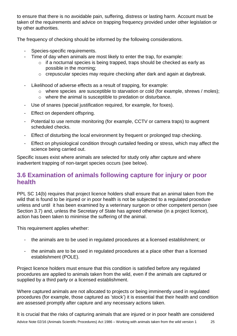to ensure that there is no avoidable pain, suffering, distress or lasting harm. Account must be taken of the requirements and advice on trapping frequency provided under other legislation or by other authorities.

The frequency of checking should be informed by the following considerations.

- Species-specific requirements.
- Time of day when animals are most likely to enter the trap, for example:
	- o if a nocturnal species is being trapped, traps should be checked as early as possible in the morning;
	- o crepuscular species may require checking after dark and again at daybreak.
- Likelihood of adverse effects as a result of trapping, for example:
	- o where species are susceptible to starvation or cold (for example, shrews / moles);
	- o where the animal is susceptible to predation or disturbance.
- Use of snares (special justification required, for example, for foxes).
- Effect on dependent offspring.
- Potential to use remote monitoring (for example, CCTV or camera traps) to augment scheduled checks.
- Effect of disturbing the local environment by frequent or prolonged trap checking.
- Effect on physiological condition through curtailed feeding or stress, which may affect the science being carried out.

Specific issues exist where animals are selected for study only after capture and where inadvertent trapping of non-target species occurs (see below).

#### **3.6 Examination of animals following capture for injury or poor health**

PPL SC 14(b) requires that project licence holders shall ensure that an animal taken from the wild that is found to be injured or in poor health is not be subjected to a regulated procedure unless and until it has been examined by a veterinary surgeon or other competent person (see Section 3.7) and, unless the Secretary of State has agreed otherwise (in a project licence), action has been taken to minimise the suffering of the animal.

This requirement applies whether:

- the animals are to be used in regulated procedures at a licensed establishment; or
- the animals are to be used in regulated procedures at a place other than a licensed establishment (POLE).

Project licence holders must ensure that this condition is satisfied before any regulated procedures are applied to animals taken from the wild, even if the animals are captured or supplied by a third party or a licensed establishment.

Where captured animals are not allocated to projects or being imminently used in regulated procedures (for example, those captured as 'stock') it is essential that their health and condition are assessed promptly after capture and any necessary actions taken.

It is crucial that the risks of capturing animals that are injured or in poor health are considered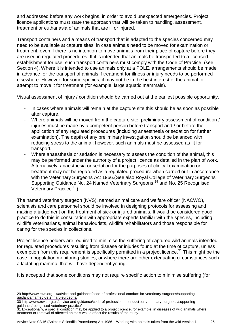and addressed before any work begins, in order to avoid unexpected emergencies. Project licence applications must state the approach that will be taken to handling, assessment, treatment or euthanasia of animals that are ill or injured.

Transport containers and a means of transport that is adapted to the species concerned may need to be available at capture sites, in case animals need to be moved for examination or treatment, even if there is no intention to move animals from their place of capture before they are used in regulated procedures. If it is intended that animals be transported to a licensed establishment for use, such transport containers must comply with the Code of Practice, (see Section 4). Where it is intended to use animals only at a POLE, arrangements should be made in advance for the transport of animals if treatment for illness or injury needs to be performed elsewhere. However, for some species, it may not be in the best interest of the animal to attempt to move it for treatment (for example, large aquatic mammals).

Visual assessment of injury / condition should be carried out at the earliest possible opportunity.

- In cases where animals will remain at the capture site this should be as soon as possible after capture.
- Where animals will be moved from the capture site, preliminary assessment of condition / injuries must be made by a competent person before transport and / or before the application of any regulated procedures (including anaesthesia or sedation for further examination). The depth of any preliminary investigation should be balanced with reducing stress to the animal; however, such animals must be assessed as fit for transport.
- Where anaesthesia or sedation is necessary to assess the condition of the animal, this may be performed under the authority of a project licence as detailed in the plan of work. Alternatively, anaesthesia or sedation for the purposes of clinical examination or treatment may not be regarded as a regulated procedure when carried out in accordance with the Veterinary Surgeons Act 1966.(See also Royal College of Veterinary Surgeons Supporting Guidance No. 24 Named Veterinary Surgeons,<sup>29</sup> and No. 25 Recognised Veterinary Practice<sup>30</sup>.)

The named veterinary surgeon (NVS), named animal care and welfare officer (NACWO), scientists and care personnel should be involved in designing protocols for assessing and making a judgement on the treatment of sick or injured animals. It would be considered good practice to do this in consultation with appropriate experts familiar with the species, including wildlife veterinarians, animal behaviourists, wildlife rehabilitators and those responsible for caring for the species in collections.

Project licence holders are required to minimise the suffering of captured wild animals intended for regulated procedures resulting from disease or injuries found at the time of capture, unless exemption from this requirement is specifically permitted in a project licence.<sup>31</sup> This might be the case in population monitoring studies, or where there are other extenuating circumstances such a lactating mammal that will have dependent young.

It is accepted that some conditions may not require specific action to minimise suffering (for

<sup>29</sup> [http://www.rcvs.org.uk/advice-and-guidance/code-of-professional-conduct-for-veterinary-surgeons/supporting](http://www.rcvs.org.uk/advice-and-guidance/code-of-professional-conduct-for-veterinary-surgeons/supporting-guidance/named-veterinary-surgeons/)[guidance/named-veterinary-surgeons/](http://www.rcvs.org.uk/advice-and-guidance/code-of-professional-conduct-for-veterinary-surgeons/supporting-guidance/named-veterinary-surgeons/)

<sup>30</sup> http://www.rcvs.org.uk/advice-and-guidance/code-of-professional-conduct-for-veterinary-surgeons/supportingguidance/recognised-veterinary-practice/

<sup>31</sup> Exceptionally, a special condition may be applied to a project licence, for example, in diseases of wild animals where treatment or removal of affected animals would affect the results of the study.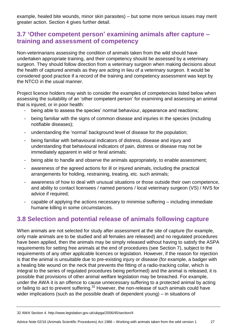example, healed bite wounds, minor skin parasites) – but some more serious issues may merit greater action. Section 4 gives further detail.

#### **3.7 'Other competent person' examining animals after capture – training and assessment of competency**

Non-veterinarians assessing the condition of animals taken from the wild should have undertaken appropriate training, and their competency should be assessed by a veterinary surgeon. They should follow direction from a veterinary surgeon when making decisions about the health of captured animals as they are acting in lieu of a veterinary surgeon. It would be considered good practice if a record of the training and competency assessment was kept by the NTCO in the usual manner.

Project licence holders may wish to consider the examples of competencies listed below when assessing the suitability of an 'other competent person' for examining and assessing an animal that is injured, or in poor health:

- being able to assess the species' normal behaviour, appearance and reactions;
- being familiar with the signs of common disease and injuries in the species (including notifiable diseases);
- understanding the 'normal' background level of disease for the population;
- being familiar with behavioural indicators of distress, disease and injury and understanding that behavioural indicators of pain, distress or disease may not be immediately apparent in wild or feral animals;
- being able to handle and observe the animals appropriately, to enable assessment;
- awareness of the agreed actions for ill or injured animals, including the practical arrangements for holding, restraining, treating, etc. such animals;
- awareness of how to deal with unusual situations or those outside their own competence, and ability to contact licensees / named persons / local veterinary surgeon (VS) / NVS for advice if required;
- capable of applying the actions necessary to minimise suffering including immediate humane killing in some circumstances.

#### **3.8 Selection and potential release of animals following capture**

When animals are not selected for study after assessment at the site of capture (for example, only male animals are to be studied and all females are released) and no regulated procedures have been applied, then the animals may be simply released without having to satisfy the ASPA requirements for setting free animals at the end of procedures (see Section 7), subject to the requirements of any other applicable licences or legislation. However, if the reason for rejection is that the animal is unsuitable due to pre-existing injury or disease (for example, a badger with a healing bite wound on the neck that prevents the fitting of a radio-tracking collar, which is integral to the series of regulated procedures being performed) and the animal is released, it is possible that provisions of other animal welfare legislation may be breached. For example, under the AWA it is an offence to cause unnecessary suffering to a protected animal by acting or failing to act to prevent suffering.<sup>32</sup> However, the non-release of such animals could have wider implications (such as the possible death of dependent young) – in situations of

<sup>32</sup> AWA Section 4. http://www.legislation.gov.uk/ukpga/2006/45/section/4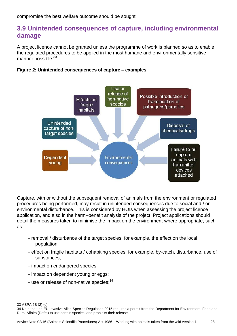compromise the best welfare outcome should be sought.

#### **3.9 Unintended consequences of capture, including environmental damage**

A project licence cannot be granted unless the programme of work is planned so as to enable the regulated procedures to be applied in the most humane and environmentally sensitive manner possible.<sup>33</sup>

#### **Figure 2: Unintended consequences of capture – examples**



Capture, with or without the subsequent removal of animals from the environment or regulated procedures being performed, may result in unintended consequences due to social and / or environmental disturbance. This is considered by HOIs when assessing the project licence application, and also in the harm–benefit analysis of the project. Project applications should detail the measures taken to minimise the impact on the environment where appropriate, such as:

- removal / disturbance of the target species, for example, the effect on the local population;
- effect on fragile habitats / cohabiting species, for example, by-catch, disturbance, use of substances;
- impact on endangered species;
- impact on dependent young or eggs;
- use or release of non-native species;<sup>34</sup>

33 ASPA 5B (2) (c).

<sup>34</sup> Note that the EU Invasive Alien Species Regulation 2015 requires a permit from the Department for Environment, Food and Rural Affairs (Defra) to use certain species, and prohibits their release.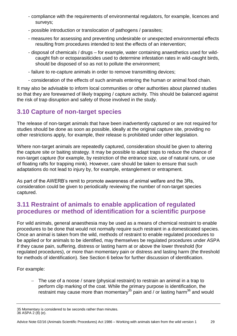- compliance with the requirements of environmental regulators, for example, licences and surveys;
- possible introduction or translocation of pathogens / parasites;
- measures for assessing and preventing undesirable or unexpected environmental effects resulting from procedures intended to test the effects of an intervention;
- disposal of chemicals / drugs for example, water containing anaesthetics used for wildcaught fish or ectoparasiticides used to determine infestation rates in wild-caught birds, should be disposed of so as not to pollute the environment;
- failure to re-capture animals in order to remove transmitting devices;
- consideration of the effects of such animals entering the human or animal food chain.

It may also be advisable to inform local communities or other authorities about planned studies so that they are forewarned of likely trapping / capture activity. This should be balanced against the risk of trap disruption and safety of those involved in the study.

#### **3.10 Capture of non-target species**

The release of non-target animals that have been inadvertently captured or are not required for studies should be done as soon as possible, ideally at the original capture site, providing no other restrictions apply, for example, their release is prohibited under other legislation.

Where non-target animals are repeatedly captured, consideration should be given to altering the capture site or baiting strategy. It may be possible to adapt traps to reduce the chance of non-target capture (for example, by restriction of the entrance size, use of natural runs, or use of floating rafts for trapping mink). However, care should be taken to ensure that such adaptations do not lead to injury by, for example, entanglement or entrapment.

As part of the AWERB's remit to promote awareness of animal welfare and the 3Rs, consideration could be given to periodically reviewing the number of non-target species captured.

#### **3.11 Restraint of animals to enable application of regulated procedures or method of identification for a scientific purpose**

For wild animals, general anaesthesia may be used as a means of chemical restraint to enable procedures to be done that would not normally require such restraint in a domesticated species. Once an animal is taken from the wild, methods of restraint to enable regulated procedures to be applied or for animals to be identified, may themselves be regulated procedures under ASPA if they cause pain, suffering, distress or lasting harm at or above the lower threshold (for regulated procedures), or more than momentary pain or distress and lasting harm (the threshold for methods of identification). See Section 6 below for further discussion of identification.

For example:

 The use of a noose / snare (physical restraint) to restrain an animal in a trap to perform clip marking of the coat. While the primary purpose is identification, the restraint may cause more than momentary<sup>35</sup> pain and / or lasting harm<sup>36</sup> and would

<sup>35</sup> Momentary is considered to be seconds rather than minutes. 36 ASPA 2 (8) (e).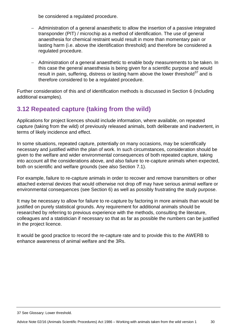be considered a regulated procedure.

- Administration of a general anaesthetic to allow the insertion of a passive integrated transponder (PIT) / microchip as a method of identification. The use of general anaesthesia for chemical restraint would result in more than momentary pain or lasting harm (i.e. above the identification threshold) and therefore be considered a regulated procedure.
- Administration of a general anaesthetic to enable body measurements to be taken. In this case the general anaesthesia is being given for a scientific purpose and would result in pain, suffering, distress or lasting harm above the lower threshold $37$  and is therefore considered to be a regulated procedure.

Further consideration of this and of identification methods is discussed in Section 6 (including additional examples).

#### **3.12 Repeated capture (taking from the wild)**

Applications for project licences should include information, where available, on repeated capture (taking from the wild) of previously released animals, both deliberate and inadvertent, in terms of likely incidence and effect.

In some situations, repeated capture, potentially on many occasions, may be scientifically necessary and justified within the plan of work. In such circumstances, consideration should be given to the welfare and wider environmental consequences of both repeated capture, taking into account all the considerations above, and also failure to re-capture animals when expected, both on scientific and welfare grounds (see also Section 7.1).

For example, failure to re-capture animals in order to recover and remove transmitters or other attached external devices that would otherwise not drop off may have serious animal welfare or environmental consequences (see Section 6) as well as possibly frustrating the study purpose.

It may be necessary to allow for failure to re-capture by factoring in more animals than would be justified on purely statistical grounds. Any requirement for additional animals should be researched by referring to previous experience with the methods, consulting the literature, colleagues and a statistician if necessary so that as far as possible the numbers can be justified in the project licence.

It would be good practice to record the re-capture rate and to provide this to the AWERB to enhance awareness of animal welfare and the 3Rs.

#### 37 See Glossary: Lower threshold.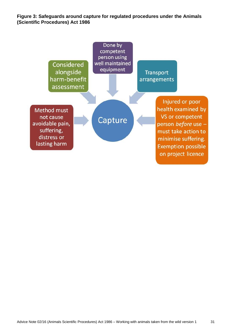**Figure 3: Safeguards around capture for regulated procedures under the Animals (Scientific Procedures) Act 1986** 

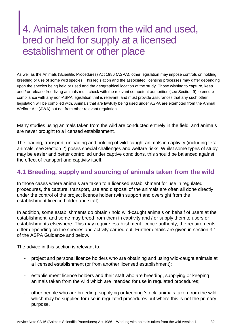### 4. Animals taken from the wild and used, bred or held for supply at a licensed establishment or other place

As well as the Animals (Scientific Procedures) Act 1986 (ASPA), other legislation may impose controls on holding, breeding or use of some wild species. This legislation and the associated licensing processes may differ depending upon the species being held or used and the geographical location of the study. Those wishing to capture, keep and / or release free-living animals must check with the relevant competent authorities (see Section 9) to ensure compliance with any non-ASPA legislation that is relevant, and must provide assurances that any such other legislation will be complied with. Animals that are lawfully being used under ASPA are exempted from the Animal Welfare Act (AWA) but not from other relevant regulation.

Many studies using animals taken from the wild are conducted entirely in the field, and animals are never brought to a licensed establishment.

The loading, transport, unloading and holding of wild-caught animals in captivity (including feral animals, see Section 2) poses special challenges and welfare risks. Whilst some types of study may be easier and better controlled under captive conditions, this should be balanced against the effect of transport and captivity itself.

#### **4.1 Breeding, supply and sourcing of animals taken from the wild**

In those cases where animals are taken to a licensed establishment for use in regulated procedures, the capture, transport, use and disposal of the animals are often all done directly under the control of the project licence holder (with support and oversight from the establishment licence holder and staff).

In addition, some establishments do obtain / hold wild-caught animals on behalf of users at the establishment, and some may breed from them in captivity and / or supply them to users or establishments elsewhere. This may require establishment licence authority; the requirements differ depending on the species and activity carried out. Further details are given in section 3.1 of the ASPA Guidance and below.

The advice in this section is relevant to:

- project and personal licence holders who are obtaining and using wild-caught animals at a licensed establishment (or from another licensed establishment);
- establishment licence holders and their staff who are breeding, supplying or keeping animals taken from the wild which are intended for use in regulated procedures;
- other people who are breeding, supplying or keeping 'stock' animals taken from the wild which may be supplied for use in regulated procedures but where this is not the primary purpose.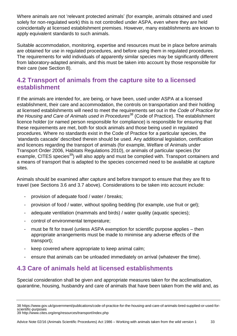Where animals are not 'relevant protected animals' (for example, animals obtained and used solely for non-regulated work) this is not controlled under ASPA, even where they are held coincidentally at licensed establishment premises. However, many establishments are known to apply equivalent standards to such animals.

Suitable accommodation, monitoring, expertise and resources must be in place before animals are obtained for use in regulated procedures, and before using them in regulated procedures. The requirements for wild individuals of apparently similar species may be significantly different from laboratory-adapted animals, and this must be taken into account by those responsible for their care (see Section 8).

#### **4.2 Transport of animals from the capture site to a licensed establishment**

If the animals are intended for, are being, or have been, used under ASPA at a licensed establishment, their care and accommodation, the controls on transportation and their holding at licensed establishments will need to meet the requirements set out in the *Code of Practice for the Housing and Care of Animals used in Procedures*<sup>38</sup> (Code of Practice). The establishment licence holder (or named person responsible for compliance) is responsible for ensuring that these requirements are met, both for stock animals and those being used in regulated procedures. Where no standards exist in the Code of Practice for a particular species, the 'standards cascade' described therein should be used. Any additional legislation, certification and licences regarding the transport of animals (for example, Welfare of Animals under Transport Order 2006, Habitats Regulations 2010), or animals of particular species (for example, CITES species<sup>39</sup>) will also apply and must be complied with. Transport containers and a means of transport that is adapted to the species concerned need to be available at capture sites.

Animals should be examined after capture and before transport to ensure that they are fit to travel (see Sections 3.6 and 3.7 above). Considerations to be taken into account include:

- provision of adequate food / water / breaks;
- provision of food / water, without spoiling bedding (for example, use fruit or gel);
- adequate ventilation (mammals and birds) / water quality (aquatic species);
- control of environmental temperature;
- must be fit for travel (unless ASPA exemption for scientific purpose applies then appropriate arrangements must be made to minimise any adverse effects of the transport);
- keep covered where appropriate to keep animal calm;
- ensure that animals can be unloaded immediately on arrival (whatever the time).

#### **4.3 Care of animals held at licensed establishments**

Special consideration shall be given and appropriate measures taken for the acclimatisation, quarantine, housing, husbandry and care of animals that have been taken from the wild and, as

<sup>38</sup> https://www.gov.uk/government/publications/code-of-practice-for-the-housing-and-care-of-animals-bred-supplied-or-used-forscientific-purposes 39 http://www.cites.org/eng/resources/transport/index.php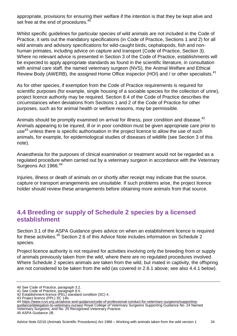appropriate, provisions for ensuring their welfare if the intention is that they be kept alive and set free at the end of procedures.<sup>40</sup>

Whilst specific guidelines for particular species of wild animals are not included in the Code of Practice, it sets out the mandatory specifications (in Code of Practice, Sections 1 and 2) for all wild animals and advisory specifications for wild-caught birds, cephalopods, fish and nonhuman primates, including advice on capture and transport (Code of Practice, Section 3). Where no relevant advice is presented in Section 3 of the Code of Practice, establishments will be expected to apply appropriate standards as found in the scientific literature, in consultation with animal care staff, the named veterinary surgeon (NVS), the Animal Welfare and Ethical Review Body (AWERB), the assigned Home Office inspector (HOI) and / or other specialists.<sup>41</sup>

As for other species, if exemption from the Code of Practice requirements is required for scientific purposes (for example, single housing of a sociable species for the collection of urine), project licence authority may be required. Section 8.4 of the Code of Practice describes the circumstances when deviations from Sections 1 and 2 of the Code of Practice for other purposes, such as for animal health or welfare reasons, may be permissible.

Animals should be promptly examined on arrival for illness, poor condition and disease.<sup>42</sup> Animals appearing to be injured, ill or in poor condition must be given appropriate care prior to use<sup>43</sup> unless there is specific authorisation in the project licence to allow the use of such animals, for example, for epidemiological studies of diseases of wildlife (see Section 3 of this note).

Anaesthesia for the purposes of clinical examination or treatment would not be regarded as a regulated procedure when carried out by a veterinary surgeon in accordance with the Veterinary Surgeons Act 1966.<sup>44</sup>

Injuries, illness or death of animals on or shortly after receipt may indicate that the source, capture or transport arrangements are unsuitable. If such problems arise, the project licence holder should review these arrangements before obtaining more animals from that source.

#### **4.4 Breeding or supply of Schedule 2 species by a licensed establishment**

Section 3.1 of the ASPA Guidance gives advice on when an establishment licence is required for these activities.<sup>45</sup> Section 2.6 of this Advice Note includes information on Schedule 2 species.

Project licence authority is not required for activities involving only the breeding from or supply of animals previously taken from the wild, where there are no regulated procedures involved. Where Schedule 2 species animals are taken from the wild, but mated in captivity, the offspring are not considered to be taken from the wild (as covered in 2.6.1 above; see also 4.4.1 below).

<sup>40</sup> See Code of Practice, paragraph 3.2.

<sup>41</sup> See Code of Practice, paragraph 8.5.

<sup>42</sup> Establishment licence (PEL) standard condition (SC) 4.

<sup>43</sup> Project licence (PPL) SC 14b.

<sup>44</sup> [https://www.rcvs.org.uk/advice-and-guidance/code-of-professional-conduct-for-veterinary-surgeons/supporting](https://www.rcvs.org.uk/advice-and-guidance/code-of-professional-conduct-for-veterinary-surgeons/supporting-guidance/delegation-to-veterinary-nurses/)[guidance/delegation-to-veterinary-nurses/](https://www.rcvs.org.uk/advice-and-guidance/code-of-professional-conduct-for-veterinary-surgeons/supporting-guidance/delegation-to-veterinary-nurses/) Royal College of Veterinary Surgeons Supporting Guidance No. 24 Named Veterinary Surgeons, and No. 25 Recognised Veterinary Practice. 45 ASPA Guidance 2B.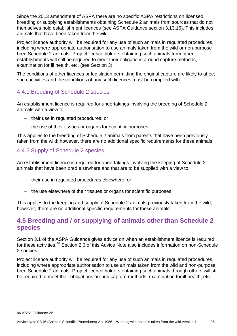Since the 2013 amendment of ASPA there are no specific ASPA restrictions on licensed breeding or supplying establishments obtaining Schedule 2 animals from sources that do not themselves hold establishment licences (see ASPA Guidance section 3.13.16). This includes animals that have been taken from the wild.

Project licence authority will be required for any use of such animals in regulated procedures, including where appropriate authorisation to use animals taken from the wild or non-purpose bred Schedule 2 animals. Project licence holders obtaining such animals from other establishments will still be required to meet their obligations around capture methods, examination for ill health, etc. (see Section 3).

The conditions of other licences or legislation permitting the original capture are likely to affect such activities and the conditions of any such licences must be complied with.

#### 4.4.1 Breeding of Schedule 2 species

An establishment licence is required for undertakings involving the breeding of Schedule 2 animals with a view to:

- $-$  their use in regulated procedures; or
- the use of their tissues or organs for scientific purposes.

This applies to the breeding of Schedule 2 animals from parents that have been previously taken from the wild; however, there are no additional specific requirements for these animals.

#### 4.4.2 Supply of Schedule 2 species

An establishment licence is required for undertakings involving the keeping of Schedule 2 animals that have been bred elsewhere and that are to be supplied with a view to:

- their use in regulated procedures elsewhere; or
- the use elsewhere of their tissues or organs for scientific purposes.

This applies to the keeping and supply of Schedule 2 animals previously taken from the wild; however, there are no additional specific requirements for these animals.

#### **4.5 Breeding and / or supplying of animals other than Schedule 2 species**

Section 3.1 of the ASPA Guidance gives advice on when an establishment licence is required for these activities.<sup>46</sup> Section 2.6 of this Advice Note also includes information on non-Schedule 2 species.

Project licence authority will be required for any use of such animals in regulated procedures, including where appropriate authorisation to use animals taken from the wild and non-purpose bred Schedule 2 animals. Project licence holders obtaining such animals through others will still be required to meet their obligations around capture methods, examination for ill health, etc.

<sup>46</sup> ASPA Guidance 2B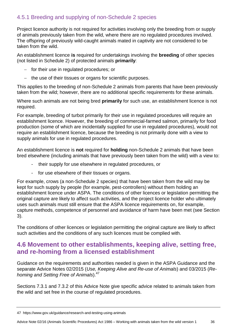#### 4.5.1 Breeding and supplying of non-Schedule 2 species

Project licence authority is not required for activities involving only the breeding from or supply of animals previously taken from the wild, where there are no regulated procedures involved. The offspring of previously wild-caught animals mated in captivity are not considered to be taken from the wild.

An establishment licence **is** required for undertakings involving the **breeding** of other species (not listed in Schedule 2) of protected animals **primarily**:

- $-$  for their use in regulated procedures; or
- $-$  the use of their tissues or organs for scientific purposes.

This applies to the breeding of non-Schedule 2 animals from parents that have been previously taken from the wild; however, there are no additional specific requirements for these animals.

Where such animals are not being bred **primarily** for such use, an establishment licence is not required.

For example, breeding of turbot primarily for their use in regulated procedures will require an establishment licence. However, the breeding of commercial-farmed salmon, primarily for food production (some of which are incidentally supplied for use in regulated procedures), would not require an establishment licence, because the breeding is not primarily done with a view to supply animals for use in regulated procedures.

An establishment licence is **not** required for **holding** non-Schedule 2 animals that have been bred elsewhere (including animals that have previously been taken from the wild) with a view to:

- their supply for use elsewhere in regulated procedures, or
- for use elsewhere of their tissues or organs.

For example, crows (a non-Schedule 2 species) that have been taken from the wild may be kept for such supply by people (for example, pest-controllers) without them holding an establishment licence under ASPA. The conditions of other licences or legislation permitting the original capture are likely to affect such activities, and the project licence holder who ultimately uses such animals must still ensure that the ASPA licence requirements on, for example, capture methods, competence of personnel and avoidance of harm have been met (see Section 3).

The conditions of other licences or legislation permitting the original capture are likely to affect such activities and the conditions of any such licences must be complied with.

#### **4.6 Movement to other establishments, keeping alive, setting free, and re-homing from a licensed establishment**

Guidance on the requirements and authorities needed is given in the ASPA Guidance and the separate Advice Notes 02/2015 (*Use, Keeping Alive and Re-use of Animals*) and 03/2015 (*Rehoming and Setting Free of Animals*).<sup>47</sup>

Sections 7.3.1 and 7.3.2 of this Advice Note give specific advice related to animals taken from the wild and set free in the course of regulated procedures.

<sup>47</sup> https://www.gov.uk/guidance/research-and-testing-using-animals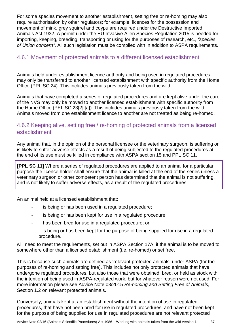For some species movement to another establishment, setting free or re-homing may also require authorisation by other regulators; for example, licences for the possession and movement of mink, grey squirrel and coypu are required under the Destructive Imported Animals Act 1932. A permit under the EU Invasive Alien Species Regulation 2015 is needed for importing, keeping, breeding, transporting or using for the purposes of research, etc., *"species of Union concern"*. All such legislation must be complied with in addition to ASPA requirements.

#### 4.6.1 Movement of protected animals to a different licensed establishment

Animals held under establishment licence authority and being used in regulated procedures may only be transferred to another licensed establishment with specific authority from the Home Office (PPL SC 24). This includes animals previously taken from the wild.

Animals that have completed a series of regulated procedures and are kept alive under the care of the NVS may only be moved to another licensed establishment with specific authority from the Home Office (PEL SC 23[2] [a]). This includes animals previously taken from the wild. Animals moved from one establishment licence to another are not treated as being re-homed.

#### 4.6.2 Keeping alive, setting free / re-homing of protected animals from a licensed establishment

Any animal that, in the opinion of the personal licensee or the veterinary surgeon, is suffering or is likely to suffer adverse effects as a result of being subjected to the regulated procedures at the end of its use must be killed in compliance with ASPA section 15 and PPL SC 11.

**[PPL SC 11]** Where a series of regulated procedures are applied to an animal for a particular purpose the licence holder shall ensure that the animal is killed at the end of the series unless a veterinary surgeon or other competent person has determined that the animal is not suffering, and is not likely to suffer adverse effects, as a result of the regulated procedures.

An animal held at a licensed establishment that:

- is being or has been used in a regulated procedure;
- is being or has been kept for use in a regulated procedure;
- has been bred for use in a regulated procedure; or
- is being or has been kept for the purpose of being supplied for use in a regulated procedure.

will need to meet the requirements, set out in ASPA Section 17A, if the animal is to be moved to somewhere other than a licensed establishment (i.e. re-homed) or set free.

This is because such animals are defined as 'relevant protected animals' under ASPA (for the purposes of re-homing and setting free). This includes not only protected animals that have undergone regulated procedures, but also those that were obtained, bred, or held as stock with the intention of being used in ASPA-regulated work, but for whatever reason were not used. For more information please see Advice Note 03/2015 *Re-homing and Setting Free of Animals*, Section 1.2 on relevant protected animals.

Conversely, animals kept at an establishment without the intention of use in regulated procedures, that have not been bred for use in regulated procedures, and have not been kept for the purpose of being supplied for use in regulated procedures are not relevant protected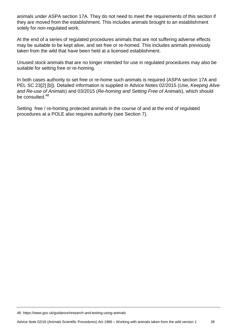animals under ASPA section 17A. They do not need to meet the requirements of this section if they are moved from the establishment. This includes animals brought to an establishment solely for non-regulated work.

At the end of a series of regulated procedures animals that are not suffering adverse effects may be suitable to be kept alive, and set free or re-homed. This includes animals previously taken from the wild that have been held at a licensed establishment.

Unused stock animals that are no longer intended for use in regulated procedures may also be suitable for setting free or re-homing.

In both cases authority to set free or re-home such animals is required (ASPA section 17A and PEL SC 23[2] [b]). Detailed information is supplied in Advice Notes 02/2015 (*Use, Keeping Alive and Re-use of Animals*) and 03/2015 (*Re-homing and Setting Free of Animals*), which should be consulted.<sup>48</sup>

Setting free / re-homing protected animals in the course of and at the end of regulated procedures at a POLE also requires authority (see Section 7).

48 https://www.gov.uk/guidance/research-and-testing-using-animals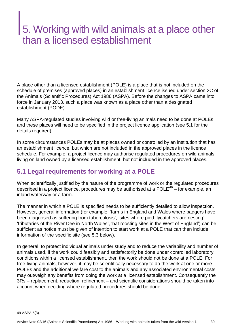## 5. Working with wild animals at a place other than a licensed establishment

A place other than a licensed establishment (POLE) is a place that is not included on the schedule of premises (approved places) in an establishment licence issued under section 2C of the Animals (Scientific Procedures) Act 1986 (ASPA). Before the changes to ASPA came into force in January 2013, such a place was known as a place other than a designated establishment (PODE).

Many ASPA-regulated studies involving wild or free-living animals need to be done at POLEs and these places will need to be specified in the project licence application (see 5.1 for the details required).

In some circumstances POLEs may be at places owned or controlled by an institution that has an establishment licence, but which are not included in the approved places in the licence schedule. For example, a project licence may authorise regulated procedures on wild animals living on land owned by a licensed establishment, but not included in the approved places.

#### **5.1 Legal requirements for working at a POLE**

When scientifically justified by the nature of the programme of work or the regulated procedures described in a project licence, procedures may be authorised at a POLE<sup>49</sup> – for example, an inland waterway or a farm.

The manner in which a POLE is specified needs to be sufficiently detailed to allow inspection. However, general information (for example, 'farms in England and Wales where badgers have been diagnosed as suffering from tuberculosis', 'sites where pied flycatchers are nesting', 'tributaries of the River Dee in North Wales', 'bat roosting sites in the West of England') can be sufficient as notice must be given of intention to start work at a POLE that can then include information of the specific site (see 5.3 below).

In general, to protect individual animals under study and to reduce the variability and number of animals used, if the work could feasibly and satisfactorily be done under controlled laboratory conditions within a licensed establishment, then the work should not be done at a POLE. For free-living animals, however, it may be scientifically necessary to do the work at one or more POLEs and the additional welfare cost to the animals and any associated environmental costs may outweigh any benefits from doing the work at a licensed establishment. Consequently the 3Rs – replacement, reduction, refinement – and scientific considerations should be taken into account when deciding where regulated procedures should be done.

<sup>49</sup> ASPA 5(3).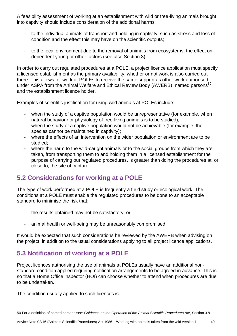A feasibility assessment of working at an establishment with wild or free-living animals brought into captivity should include consideration of the additional harms:

- to the individual animals of transport and holding in captivity, such as stress and loss of condition and the effect this may have on the scientific outputs;
- to the local environment due to the removal of animals from ecosystems, the effect on dependent young or other factors (see also Section 3).

In order to carry out regulated procedures at a POLE, a project licence application must specify a licensed establishment as the primary availability, whether or not work is also carried out there. This allows for work at POLEs to receive the same support as other work authorised under ASPA from the Animal Welfare and Ethical Review Body (AWERB), named persons<sup>50</sup> and the establishment licence holder.

Examples of scientific justification for using wild animals at POLEs include:

- when the study of a captive population would be unrepresentative (for example, when natural behaviour or physiology of free-living animals is to be studied);
- when the study of a captive population would not be achievable (for example, the species cannot be maintained in captivity);
- where the effects of an intervention on the wider population or environment are to be studied;
- where the harm to the wild-caught animals or to the social groups from which they are taken, from transporting them to and holding them in a licensed establishment for the purpose of carrying out regulated procedures, is greater than doing the procedures at, or close to, the site of capture.

#### **5.2 Considerations for working at a POLE**

The type of work performed at a POLE is frequently a field study or ecological work. The conditions at a POLE must enable the regulated procedures to be done to an acceptable standard to minimise the risk that:

- $-$  the results obtained may not be satisfactory; or
- animal health or well-being may be unreasonably compromised.

It would be expected that such considerations be reviewed by the AWERB when advising on the project, in addition to the usual considerations applying to all project licence applications.

#### **5.3 Notification of working at a POLE**

Project licences authorising the use of animals at POLEs usually have an additional nonstandard condition applied requiring notification arrangements to be agreed in advance. This is so that a Home Office inspector (HOI) can choose whether to attend when procedures are due to be undertaken.

The condition usually applied to such licences is:

<sup>50</sup> For a definition of named persons see: *Guidance on the Operation of the Animal Scientific Procedures Act*, Section 3.8.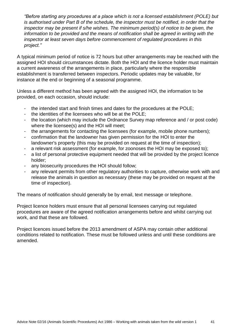*"Before starting any procedures at a place which is not a licensed establishment (POLE) but is authorised under Part B of the schedule, the inspector must be notified, in order that the inspector may be present if s/he wishes. The minimum period(s) of notice to be given, the information to be provided and the means of notification shall be agreed in writing with the inspector at least seven days before commencement of regulated procedures in this project."*

A typical minimum period of notice is 72 hours but other arrangements may be reached with the assigned HOI should circumstances dictate. Both the HOI and the licence holder must maintain a current awareness of the arrangements in place, particularly where the responsible establishment is transferred between inspectors. Periodic updates may be valuable, for instance at the end or beginning of a seasonal programme.

Unless a different method has been agreed with the assigned HOI, the information to be provided, on each occasion, should include:

- the intended start and finish times and dates for the procedures at the POLE;
- the identities of the licensees who will be at the POLE;
- the location (which may include the Ordnance Survey map reference and / or post code) where the licensee(s) and the HOI will meet;
- the arrangements for contacting the licensees (for example, mobile phone numbers);
- confirmation that the landowner has given permission for the HOI to enter the landowner's property (this may be provided on request at the time of inspection);
- a relevant risk assessment (for example, for zoonoses the HOI may be exposed to);
- a list of personal protective equipment needed that will be provided by the project licence holder;
- any biosecurity procedures the HOI should follow;
- any relevant permits from other regulatory authorities to capture, otherwise work with and release the animals in question as necessary (these may be provided on request at the time of inspection).

The means of notification should generally be by email, text message or telephone.

Project licence holders must ensure that all personal licensees carrying out regulated procedures are aware of the agreed notification arrangements before and whilst carrying out work, and that these are followed.

Project licences issued before the 2013 amendment of ASPA may contain other additional conditions related to notification. These must be followed unless and until these conditions are amended.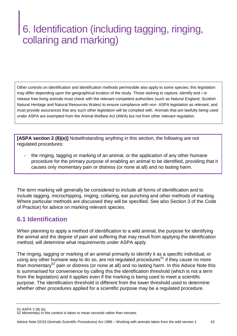## 6. Identification (including tagging, ringing, collaring and marking)

Other controls on identification and identification methods permissible also apply to some species; this legislation may differ depending upon the geographical location of the study. Those wishing to capture, identify and / or release free-living animals must check with the relevant competent authorities (such as Natural England, Scottish Natural Heritage and Natural Resources Wales) to ensure compliance with non- ASPA legislation as relevant, and must provide assurances that any such other legislation will be complied with. Animals that are lawfully being used under ASPA are exempted from the Animal Welfare Act (AWA) but not from other relevant regulation.

**[ASPA section 2 (8)(e)]** Notwithstanding anything in this section, the following are not regulated procedures:

the ringing, tagging or marking of an animal, or the application of any other humane procedure for the primary purpose of enabling an animal to be identified, providing that it causes only momentary pain or distress (or none at all) and no lasting harm.

The term marking will generally be considered to include all forms of identification and to include tagging, microchipping, ringing, collaring, ear punching and other methods of marking. Where particular methods are discussed they will be specified. See also Section 3 of the Code of Practice) for advice on marking relevant species.

#### **6.1 Identification**

When planning to apply a method of identification to a wild animal, the purpose for identifying the animal and the degree of pain and suffering that may result from applying the identification method, will determine what requirements under ASPA apply.

The ringing, tagging or marking of an animal primarily to identify it as a specific individual, or using any other humane way to do so, are not regulated procedures<sup>51</sup> if they cause no more than momentary<sup>52</sup> pain or distress (or none at all) and no lasting harm. In this Advice Note this is summarised for convenience by calling this the identification threshold (which is not a term from the legislation) and it applies even if the marking is being used to meet a scientific purpose. The identification threshold is different from the lower threshold used to determine whether other procedures applied for a scientific purpose may be a regulated procedure.

51 ASPA 2 (8) (e).

<sup>52</sup> Momentary in this context is taken to mean seconds rather than minutes.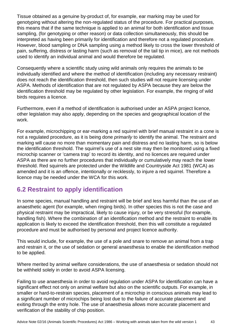Tissue obtained as a genuine by-product of, for example, ear marking may be used for genotyping without altering the non-regulated status of the procedure. For practical purposes, this means that if the same technique is applied to an animal for both identification and tissue sampling, (for genotyping or other reason) or data collection simultaneously, this should be interpreted as having been primarily for identification and therefore not a regulated procedure. However, blood sampling or DNA sampling using a method likely to cross the lower threshold of pain, suffering, distress or lasting harm (such as removal of the tail tip in mice), are not methods used to identify an individual animal and would therefore be regulated.

Consequently where a scientific study using wild animals only requires the animals to be individually identified and where the method of identification (including any necessary restraint) does not reach the identification threshold, then such studies will not require licensing under ASPA. Methods of identification that are not regulated by ASPA because they are below the identification threshold may be regulated by other legislation. For example, the ringing of wild birds requires a licence.

Furthermore, even if a method of identification is authorised under an ASPA project licence, other legislation may also apply, depending on the species and geographical location of the work.

For example, microchipping or ear-marking a red squirrel with brief manual restraint in a cone is not a regulated procedure, as it is being done *primarily* to identify the animal. The restraint and marking will cause no more than momentary pain and distress and no lasting harm, so is below the identification threshold. The squirrel's use of a nest site may then be monitored using a fixed microchip scanner or 'camera trap' to record its identity, and no licences are required under ASPA as there are no further procedures that individually or cumulatively may reach the lower threshold. Red squirrels are protected under the Wildlife and Countryside Act 1981 (WCA) as amended and it is an offence, intentionally or recklessly, to injure a red squirrel. Therefore a licence may be needed under the WCA for this work.

#### **6.2 Restraint to apply identification**

In some species, manual handling and restraint will be brief and less harmful than the use of an anaesthetic agent (for example, when ringing birds). In other species this is not the case and physical restraint may be impractical, likely to cause injury, or be very stressful (for example, handling fish). Where the combination of an identification method and the restraint to enable its application is likely to exceed the identification threshold, then this will constitute a regulated procedure and must be authorised by personal and project licence authority.

This would include, for example, the use of a pole and snare to remove an animal from a trap and restrain it, or the use of sedation or general anaesthesia to enable the identification method to be applied.

Where merited by animal welfare considerations, the use of anaesthesia or sedation should not be withheld solely in order to avoid ASPA licensing.

Failing to use anaesthesia in order to avoid regulation under ASPA for identification can have a significant effect not only on animal welfare but also on the scientific outputs. For example, in smaller or hard-to-restrain species, placement of a microchip in conscious animals may lead to a significant number of microchips being lost due to the failure of accurate placement and exiting through the entry hole. The use of anaesthesia allows more accurate placement and verification of the stability of chip position.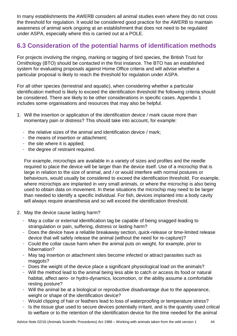In many establishments the AWERB considers all animal studies even where they do not cross the threshold for regulation. It would be considered good practice for the AWERB to maintain awareness of animal work ongoing at an establishment that does not need to be regulated under ASPA, especially where this is carried out at a POLE.

#### **6.3 Consideration of the potential harms of identification methods**

For projects involving the ringing, marking or tagging of bird species, the British Trust for Ornithology (BTO) should be contacted in the first instance. The BTO has an established system for evaluating proposals against Home Office criteria and will advise whether a particular proposal is likely to reach the threshold for regulation under ASPA.

For all other species (terrestrial and aquatic), when considering whether a particular identification method is likely to exceed the identification threshold the following criteria should be considered. There are likely to be other considerations in specific cases. Appendix 1 includes some organisations and resources that may also be helpful.

- 1. Will the insertion or application of the identification device / mark cause more than momentary pain or distress? This should take into account, for example:
	- the relative sizes of the animal and identification device / mark;
	- the means of insertion or attachment;
	- the site where it is applied;
	- the degree of restraint required.

For example, microchips are available in a variety of sizes and profiles and the needle required to place the device will be larger than the device itself. Use of a microchip that is large in relation to the size of animal, and / or would interfere with normal postures or behaviours, would usually be considered to exceed the identification threshold. For example, where microchips are implanted in very small animals, or where the microchip is also being used to obtain data on movement. In these situations the microchip may need to be larger than needed to identify a specific individual. For fish, devices implanted into a body cavity will always require anaesthesia and so will exceed the identification threshold.

- 2. May the device cause lasting harm?
	- May a collar or external identification tag be capable of being snagged leading to strangulation or pain, suffering, distress or lasting harm?
	- Does the device have a reliable breakaway section, quick-release or time-limited release device that will safely release the animal (without the need for re-capture)?
	- Could the collar cause harm when the animal puts on weight, for example, prior to hibernation?
	- May tag insertion or attachment sites become infected or attract parasites such as maggots?
	- Does the weight of the device place a significant physiological load on the animals?
	- Will the method lead to the animal being less able to catch or access its food or natural habitat, affect aero- or hydro-dynamics, locomotion, or the ability assume a comfortable resting posture?
	- Will the animal be at a biological or reproductive disadvantage due to the appearance, weight or shape of the identification device?
	- Would clipping of hair or feathers lead to loss of waterproofing or temperature stress?
	- Is the tissue glue used to secure devices potentially irritant, and is the quantity used critical to welfare or to the retention of the identification device for the time needed for the animal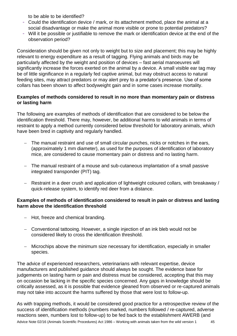to be able to be identified?

- Could the identification device / mark, or its attachment method, place the animal at a social disadvantage or make the animal more visible or prone to potential predators?
- Will it be possible or justifiable to remove the mark or identification device at the end of the observation period?

Consideration should be given not only to weight but to size and placement; this may be highly relevant to energy expenditure as a result of tagging. Flying animals and birds may be particularly affected by the weight and position of devices – fast aerial manoeuvres will significantly increase the forces exerted on the animal by a device. A small visible ear tag may be of little significance in a regularly fed captive animal, but may obstruct access to natural feeding sites, may attract predators or may alert prey to a predator's presence. Use of some collars has been shown to affect bodyweight gain and in some cases increase mortality.

#### **Examples of methods considered to result in no more than momentary pain or distress or lasting harm**

The following are examples of methods of identification that are considered to be below the identification threshold. There may, however, be additional harms to wild animals in terms of restraint to apply a method currently considered below threshold for laboratory animals, which have been bred in captivity and regularly handled.

- The manual restraint and use of small circular punches, nicks or notches in the ears, (approximately 1 mm diameter), as used for the purposes of identification of laboratory mice, are considered to cause momentary pain or distress and no lasting harm.
- The manual restraint of a mouse and sub-cutaneous implantation of a small passive integrated transponder (PIT) tag.
- Restraint in a deer crush and application of lightweight coloured collars, with breakaway / quick-release system, to identify red deer from a distance.

#### **Examples of methods of identification considered to result in pain or distress and lasting harm above the identification threshold**

- Hot, freeze and chemical branding.
- Conventional tattooing. However, a single injection of an ink bleb would not be considered likely to cross the identification threshold.
- Microchips above the minimum size necessary for identification, especially in smaller species.

The advice of experienced researchers, veterinarians with relevant expertise, device manufacturers and published guidance should always be sought. The evidence base for judgements on lasting harm or pain and distress must be considered, accepting that this may on occasion be lacking in the specific species concerned. Any gaps in knowledge should be critically assessed, as it is possible that evidence gleaned from observed or re-captured animals may not take into account the harms suffered by those that were lost to follow-up.

As with trapping methods, it would be considered good practice for a retrospective review of the success of identification methods (numbers marked, numbers followed / re-captured, adverse reactions seen, numbers lost to follow-up) to be fed back to the establishment AWERB (and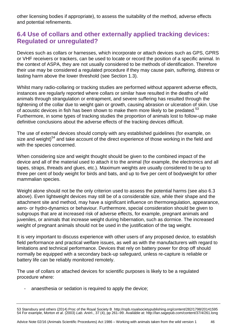other licensing bodies if appropriate), to assess the suitability of the method, adverse effects and potential refinements.

#### **6.4 Use of collars and other externally applied tracking devices: Regulated or unregulated?**

Devices such as collars or harnesses, which incorporate or attach devices such as GPS, GPRS or VHF receivers or trackers, can be used to locate or record the position of a specific animal. In the context of ASPA, they are not usually considered to be methods of identification. Therefore their use may be considered a regulated procedure if they may cause pain, suffering, distress or lasting harm above the lower threshold (see Section 1.3).

Whilst many radio-collaring or tracking studies are performed without apparent adverse effects, instances are regularly reported where collars or similar have resulted in the deaths of wild animals through strangulation or entrapment, and severe suffering has resulted through the tightening of the collar due to weight gain or growth, causing abrasion or ulceration of skin. Use of acoustic devices in fish has been shown to make them more likely to be predated.<sup>53</sup> Furthermore, in some types of tracking studies the proportion of animals lost to follow-up make definitive conclusions about the adverse effects of the tracking devices difficult.

The use of external devices should comply with any established guidelines (for example, on size and weight)<sup>54</sup> and take account of the direct experience of those working in the field and with the species concerned.

When considering size and weight thought should be given to the combined impact of the device and all of the material used to attach it to the animal (for example, the electronics and all tapes, straps, threads and glues, etc.). Maximum weights are usually considered to be up to three per cent of body weight for birds and bats, and up to five per cent of bodyweight for other mammalian species.

Weight alone should not be the only criterion used to assess the potential harms (see also 6.3 above). Even lightweight devices may still be of a considerable size, while their shape and the attachment site and method, may have a significant influence on thermoregulation, appearance, aero- or hydro-dynamics or behaviour. Furthermore, special consideration should be given to subgroups that are at increased risk of adverse effects, for example, pregnant animals and juveniles, or animals that increase weight during hibernation, such as dormice. The increased weight of pregnant animals should not be used in the justification of the tag weight.

It is very important to discuss experience with other users of any proposed device, to establish field performance and practical welfare issues, as well as with the manufacturers with regard to limitations and technical performance. Devices that rely on battery power for drop off should normally be equipped with a secondary back-up safeguard, unless re-capture is reliable or battery life can be reliably monitored remotely.

The use of collars or attached devices for scientific purposes is likely to be a regulated procedure where:

anaesthesia or sedation is required to apply the device;

<sup>53</sup> Stansbury and others (2014) Proc of the Royal Society B http://rspb.royalsocietypublishing.org/content/282/1798/20141595 54 For example, Morton *et al*. (2003) *Lab. Anim*., 37 (4), pp 261–99. Available at: http://lan.sagepub.com/content/37/4/261.long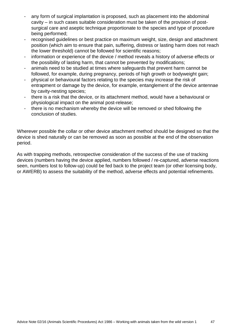- any form of surgical implantation is proposed, such as placement into the abdominal cavity – in such cases suitable consideration must be taken of the provision of postsurgical care and aseptic technique proportionate to the species and type of procedure being performed;
- recognised guidelines or best practice on maximum weight, size, design and attachment position (which aim to ensure that pain, suffering, distress or lasting harm does not reach the lower threshold) cannot be followed for scientific reasons;
- information or experience of the device / method reveals a history of adverse effects or the possibility of lasting harm, that cannot be prevented by modifications;
- animals need to be studied at times where safeguards that prevent harm cannot be followed, for example, during pregnancy, periods of high growth or bodyweight gain;
- physical or behavioural factors relating to the species may increase the risk of entrapment or damage by the device, for example, entanglement of the device antennae by cavity-nesting species;
- there is a risk that the device, or its attachment method, would have a behavioural or physiological impact on the animal post-release;
- there is no mechanism whereby the device will be removed or shed following the conclusion of studies.

Wherever possible the collar or other device attachment method should be designed so that the device is shed naturally or can be removed as soon as possible at the end of the observation period.

As with trapping methods, retrospective consideration of the success of the use of tracking devices (numbers having the device applied, numbers followed / re-captured, adverse reactions seen, numbers lost to follow-up) could be fed back to the project team (or other licensing body, or AWERB) to assess the suitability of the method, adverse effects and potential refinements.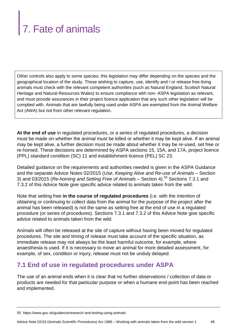## 7. Fate of animals

Other controls also apply to some species; this legislation may differ depending on the species and the geographical location of the study. Those wishing to capture, use, identify and / or release free-living animals must check with the relevant competent authorities (such as Natural England, Scottish Natural Heritage and Natural Resources Wales) to ensure compliance with non- ASPA legislation as relevant, and must provide assurances in their project licence application that any such other legislation will be complied with. Animals that are lawfully being used under ASPA are exempted from the Animal Welfare Act (AWA) but not from other relevant regulation.

**At the end of use** in regulated procedures, or a series of regulated procedures, a decision must be made on whether the animal must be killed or whether it may be kept alive. If an animal may be kept alive, a further decision must be made about whether it may be re-used, set free or re-homed. These decisions are determined by ASPA sections 15, 15A, and 17A, project licence (PPL) standard condition (SC) 11 and establishment licence (PEL) SC 23.

Detailed guidance on the requirements and authorities needed is given in the ASPA Guidance and the separate Advice Notes 02/2015 (*Use, Keeping Alive and Re-use of Animals* – Section 3) and 03/2015 (*Re-homing and Setting Free of Animals* – Section 4).<sup>55</sup> Sections 7.3.1 and 7.3.2 of this Advice Note give specific advice related to animals taken from the wild.

Note that setting free **in the course of regulated procedures** (i.e. with the intention of obtaining or continuing to collect data from the animal for the purpose of the project after the animal has been released) is not the same as setting free at the end of use in a regulated procedure (or series of procedures). Sections 7.3.1 and 7.3.2 of this Advice Note give specific advice related to animals taken from the wild.

Animals will often be released at the site of capture without having been moved for regulated procedures. The site and timing of release must take account of the specific situation, as immediate release may not always be the least harmful outcome, for example, where anaesthesia is used. If it is necessary to move an animal for more detailed assessment, for example, of sex, condition or injury, release must not be unduly delayed.

#### **7.1 End of use in regulated procedures under ASPA**

The use of an animal ends when it is clear that no further observations / collection of data or products are needed for that particular purpose or when a humane end-point has been reached and implemented.

<sup>55</sup> https://www.gov.uk/guidance/research-and-testing-using-animals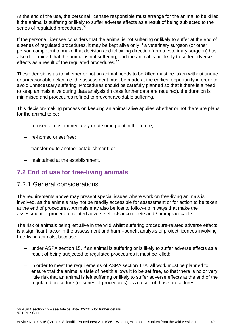At the end of the use, the personal licensee responsible must arrange for the animal to be killed if the animal is suffering or likely to suffer adverse effects as a result of being subjected to the series of regulated procedures.<sup>56</sup>

If the personal licensee considers that the animal is not suffering or likely to suffer at the end of a series of regulated procedures, it may be kept alive only if a veterinary surgeon (or other person competent to make that decision and following direction from a veterinary surgeon) has also determined that the animal is not suffering; and the animal is not likely to suffer adverse effects as a result of the regulated procedures.<sup>57</sup>

These decisions as to whether or not an animal needs to be killed must be taken without undue or unreasonable delay, i.e. the assessment must be made at the earliest opportunity in order to avoid unnecessary suffering. Procedures should be carefully planned so that if there is a need to keep animals alive during data analysis (in case further data are required), the duration is minimised and procedures refined to prevent avoidable suffering.

This decision-making process on keeping an animal alive applies whether or not there are plans for the animal to be:

- re-used almost immediately or at some point in the future;
- re-homed or set free;
- transferred to another establishment; or
- maintained at the establishment.

#### **7.2 End of use for free-living animals**

#### 7.2.1 General considerations

The requirements above may present special issues where work on free-living animals is involved, as the animals may not be readily accessible for assessment or for action to be taken at the end of procedures. Animals may also be lost to follow-up in ways that make the assessment of procedure-related adverse effects incomplete and / or impracticable.

The risk of animals being left alive in the wild whilst suffering procedure-related adverse effects is a significant factor in the assessment and harm–benefit analysis of project licences involving free-living animals, because:

- under ASPA section 15, if an animal is suffering or is likely to suffer adverse effects as a result of being subjected to regulated procedures it must be killed;
- in order to meet the requirements of ASPA section 17A, all work must be planned to ensure that the animal's state of health allows it to be set free, so that there is no or very little risk that an animal is left suffering or likely to suffer adverse effects at the end of the regulated procedure (or series of procedures) as a result of those procedures.

<sup>56</sup> ASPA section 15 – see Advice Note 02/2015 for further details. 57 PPL SC 11.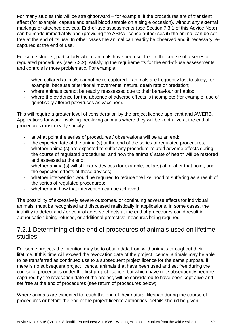For many studies this will be straightforward – for example, if the procedures are of transient effect (for example, capture and small blood sample on a single occasion), without any external markings or attached devices. End-of-use assessments (see Section 7.3.1 of this Advice Note) can be made immediately and (providing the ASPA licence authorises it) the animal can be set free at the end of its use. In other cases the animal can readily be observed and if necessary recaptured at the end of use.

For some studies, particularly where animals have been set free in the course of a series of regulated procedures (see 7.3.2), satisfying the requirements for the end-of-use assessments and controls is more problematic. For example:

- when collared animals cannot be re-captured animals are frequently lost to study, for example, because of territorial movements, natural death rate or predation;
- where animals cannot be readily reassessed due to their behaviour or habits;
- where the evidence for the absence of adverse effects is incomplete (for example, use of genetically altered poxviruses as vaccines).

This will require a greater level of consideration by the project licence applicant and AWERB. Applications for work involving free-living animals where they will be kept alive at the end of procedures must clearly specify:

- at what point the series of procedures / observations will be at an end;
- the expected fate of the animal(s) at the end of the series of regulated procedures;
- whether animal(s) are expected to suffer any procedure-related adverse effects during the course of regulated procedures, and how the animals' state of health will be restored and assessed at the end;
- whether animal(s) will still carry devices (for example, collars) at or after that point, and the expected effects of those devices;
- whether intervention would be required to reduce the likelihood of suffering as a result of the series of regulated procedures;
- whether and how that intervention can be achieved.

The possibility of excessively severe outcomes, or continuing adverse effects for individual animals, must be recognised and discussed realistically in applications. In some cases, the inability to detect and / or control adverse effects at the end of procedures could result in authorisation being refused, or additional protective measures being required.

#### 7.2.1 Determining of the end of procedures of animals used on lifetime studies

For some projects the intention may be to obtain data from wild animals throughout their lifetime. If this time will exceed the revocation date of the project licence, animals may be able to be transferred as continued use to a subsequent project licence for the same purpose. If there is no subsequent project licence, animals that have been used and set free during the course of procedures under the first project licence, but which have not subsequently been recaptured by the revocation date of the project, will be considered to have been kept alive and set free at the end of procedures (see return of procedures below).

Where animals are expected to reach the end of their natural lifespan during the course of procedures or before the end of the project licence authorities, details should be given.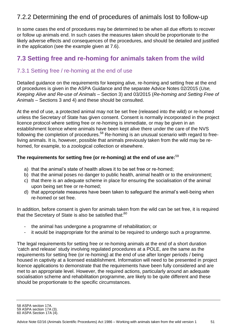#### 7.2.2 Determining the end of procedures of animals lost to follow-up

In some cases the end of procedures may be determined to be when all due efforts to recover or follow up animals end. In such cases the measures taken should be proportionate to the likely adverse effects and consequences of the procedures, and should be detailed and justified in the application (see the example given at 7.6).

#### **7.3 Setting free and re-homing for animals taken from the wild**

#### 7.3.1 Setting free / re-homing at the end of use

Detailed guidance on the requirements for keeping alive, re-homing and setting free at the end of procedures is given in the ASPA Guidance and the separate Advice Notes 02/2015 (*Use, Keeping Alive and Re-use of Animals* – Section 3) and 03/2015 (*Re-homing and Setting Free of Animals* – Sections 3 and 4) and these should be consulted.

At the end of use, a protected animal may not be set free (released into the wild) or re-homed unless the Secretary of State has given consent. Consent is normally incorporated in the project licence protocol where setting free or re-homing is immediate, or may be given in an establishment licence where animals have been kept alive there under the care of the NVS following the completion of procedures.<sup>58</sup> Re-homing is an unusual scenario with regard to freeliving animals. It is, however, possible that animals previously taken from the wild may be rehomed, for example, to a zoological collection or elsewhere.

#### **The requirements for setting free (or re-homing) at the end of use are:** 59

- a) that the animal's state of health allows it to be set free or re-homed;
- b) that the animal poses no danger to public health, animal health or to the environment;
- c) that there is an adequate scheme in place for ensuring the socialisation of the animal upon being set free or re-homed;
- d) that appropriate measures have been taken to safeguard the animal's well-being when re-homed or set free.

In addition, before consent is given for animals taken from the wild can be set free, it is required that the Secretary of State is also be satisfied that: $^{60}$ 

- the animal has undergone a programme of rehabilitation; or
- it would be inappropriate for the animal to be required to undergo such a programme.

The legal requirements for setting free or re-homing animals at the end of a short duration 'catch and release' study involving regulated procedures at a POLE, are the same as the requirements for setting free (or re-homing) at the end of use after longer periods / being housed in captivity at a licensed establishment. Information will need to be presented in project licence applications to demonstrate that the requirements have been fully considered and are met to an appropriate level. However, the required actions, particularly around an adequate socialisation scheme and rehabilitation programme, are likely to be quite different and these should be proportionate to the specific circumstances.

<sup>58</sup> ASPA section 17A.

<sup>59</sup> ASPA section 17A (3).

<sup>60</sup> ASPA Section 17A (4).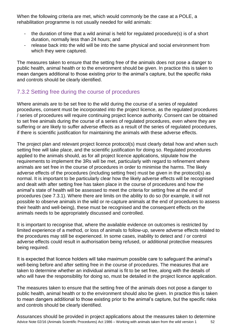When the following criteria are met, which would commonly be the case at a POLE, a rehabilitation programme is not usually needed for wild animals:

- the duration of time that a wild animal is held for regulated procedure(s) is of a short duration, normally less than 24 hours; and
- release back into the wild will be into the same physical and social environment from which they were captured.

The measures taken to ensure that the setting free of the animals does not pose a danger to public health, animal health or to the environment should be given. In practice this is taken to mean dangers additional to those existing prior to the animal's capture, but the specific risks and controls should be clearly identified.

#### 7.3.2 Setting free during the course of procedures

Where animals are to be set free to the wild during the course of a series of regulated procedures, consent must be incorporated into the project licence, as the regulated procedures / series of procedures will require continuing project licence authority. Consent can be obtained to set free animals during the course of a series of regulated procedures, even where they are suffering or are likely to suffer adverse effects as a result of the series of regulated procedures, if there is scientific justification for maintaining the animals with these adverse effects.

The project plan and relevant project licence protocol(s) must clearly detail how and when such setting free will take place, and the scientific justification for doing so. Regulated procedures applied to the animals should, as for all project licence applications, stipulate how the requirements to implement the 3Rs will be met, particularly with regard to refinement where animals are set free in the course of procedures in order to minimise the harms. The likely adverse effects of the procedures (including setting free) must be given in the protocol(s) as normal. It is important to be particularly clear how the likely adverse effects will be recognised and dealt with after setting free has taken place in the course of procedures and how the animal's state of health will be assessed to meet the criteria for setting free at the end of procedures (see 7.3.1). Where there are limits on the ability to do so (for example, it will not possible to observe animals in the wild or re-capture animals at the end of procedures to assess their health and well-being), these must be recognised and the consequent effects on the animals needs to be appropriately discussed and controlled.

It is important to recognise that, where the available evidence on outcomes is restricted by limited experience of a method, or loss of animals to follow-up, severe adverse effects related to the procedures may still be experienced. In some cases, inability to detect and / or control adverse effects could result in authorisation being refused, or additional protective measures being required.

It is expected that licence holders will take maximum possible care to safeguard the animal's well-being before and after setting free in the course of procedures. The measures that are taken to determine whether an individual animal is fit to be set free, along with the details of who will have the responsibility for doing so, must be detailed in the project licence application.

The measures taken to ensure that the setting free of the animals does not pose a danger to public health, animal health or to the environment should also be given. In practice this is taken to mean dangers additional to those existing prior to the animal's capture, but the specific risks and controls should be clearly identified.

Advice Note 02/16 (Animals Scientific Procedures) Act 1986 – Working with animals taken from the wild version 1 52 Assurances should be provided in project applications about the measures taken to determine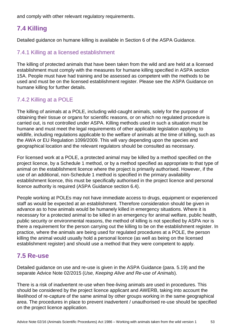and comply with other relevant regulatory requirements.

#### **7.4 Killing**

Detailed guidance on humane killing is available in Section 6 of the ASPA Guidance.

#### 7.4.1 Killing at a licensed establishment

The killing of protected animals that have been taken from the wild and are held at a licensed establishment must comply with the measures for humane killing specified in ASPA section 15A. People must have had training and be assessed as competent with the methods to be used and must be on the licensed establishment register. Please see the ASPA Guidance on humane killing for further details.

#### 7.4.2 Killing at a POLE

The killing of animals at a POLE, including wild-caught animals, solely for the purpose of obtaining their tissue or organs for scientific reasons, or on which no regulated procedure is carried out, is not controlled under ASPA. Killing methods used in such a situation must be humane and must meet the legal requirements of other applicable legislation applying to wildlife, including regulations applicable to the welfare of animals at the time of killing, such as the AWA or EU Regulation 1099/2009. This will vary depending upon the species and geographical location and the relevant regulators should be consulted as necessary.

For licensed work at a POLE, a protected animal may be killed by a method specified on the project licence, by a Schedule 1 method, or by a method specified as appropriate to that type of animal on the establishment licence where the project is primarily authorised. However, if the use of an additional, non-Schedule 1 method is specified in the primary availability establishment licence, this must be specifically authorised in the project licence and personal licence authority is required (ASPA Guidance section 6.4).

People working at POLEs may not have immediate access to drugs, equipment or experienced staff as would be expected at an establishment. Therefore consideration should be given in advance as to how animals would be humanely killed in emergency situations. Where it is necessary for a protected animal to be killed in an emergency for animal welfare, public health, public security or environmental reasons, the method of killing is not specified by ASPA nor is there a requirement for the person carrying out the killing to be on the establishment register. In practice, where the animals are being used for regulated procedures at a POLE, the person killing the animal would usually hold a personal licence (as well as being on the licensed establishment register) and should use a method that they were competent to apply.

#### **7.5 Re-use**

Detailed guidance on use and re-use is given in the ASPA Guidance (para. 5.19) and the separate Advice Note 02/2015 (*Use, Keeping Alive and Re-use of Animals*).

There is a risk of inadvertent re-use when free-living animals are used in procedures. This should be considered by the project licence applicant and AWERB, taking into account the likelihood of re-capture of the same animal by other groups working in the same geographical area. The procedures in place to prevent inadvertent / unauthorised re-use should be specified on the project licence application.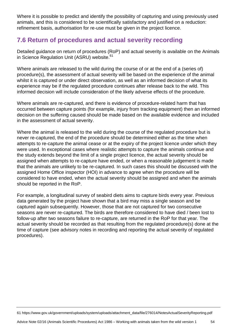Where it is possible to predict and identify the possibility of capturing and using previously used animals, and this is considered to be scientifically satisfactory and justified on a reduction: refinement basis, authorisation for re-use must be given in the project licence.

#### **7.6 Return of procedures and actual severity recording**

Detailed guidance on return of procedures (RoP) and actual severity is available on the Animals in Science Regulation Unit (ASRU) website.<sup>61</sup>

Where animals are released to the wild during the course of or at the end of a (series of) procedure(s), the assessment of actual severity will be based on the experience of the animal whilst it is captured or under direct observation, as well as an informed decision of what its experience may be if the regulated procedure continues after release back to the wild. This informed decision will include consideration of the likely adverse effects of the procedure.

Where animals are re-captured, and there is evidence of procedure-related harm that has occurred between capture points (for example, injury from tracking equipment) then an informed decision on the suffering caused should be made based on the available evidence and included in the assessment of actual severity.

Where the animal is released to the wild during the course of the regulated procedure but is never re-captured, the end of the procedure should be determined either as the time when attempts to re-capture the animal cease or at the expiry of the project licence under which they were used. In exceptional cases where realistic attempts to capture the animals continue and the study extends beyond the limit of a single project licence, the actual severity should be assigned when attempts to re-capture have ended, or when a reasonable judgement is made that the animals are unlikely to be re-captured. In such cases this should be discussed with the assigned Home Office inspector (HOI) in advance to agree when the procedure will be considered to have ended, when the actual severity should be assigned and when the animals should be reported in the RoP.

For example, a longitudinal survey of seabird diets aims to capture birds every year. Previous data generated by the project have shown that a bird may miss a single season and be captured again subsequently. However, those that are not captured for two consecutive seasons are never re-captured. The birds are therefore considered to have died / been lost to follow-up after two seasons failure to re-capture, are returned in the RoP for that year. The actual severity should be recorded as that resulting from the regulated procedure(s) done at the time of capture (see advisory notes in recording and reporting the actual severity of regulated procedures).

61 https://www.gov.uk/government/uploads/system/uploads/attachment\_data/file/276014/NotesActualSeverityReporting.pdf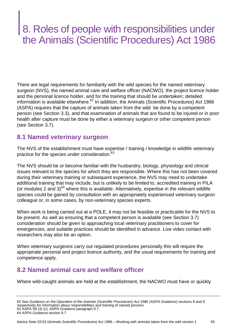### 8. Roles of people with responsibilities under the Animals (Scientific Procedures) Act 1986

There are legal requirements for familiarity with the wild species for the named veterinary surgeon (NVS), the named animal care and welfare officer (NACWO), the project licence holder and the personal licence holder, and for the training that should be undertaken; detailed information is available elsewhere.<sup>62</sup> In addition, the Animals (Scientific Procedures) Act 1986 (ASPA) requires that the capture of animals taken from the wild be done by a competent person (see Section 3.3), and that examination of animals that are found to be injured or in poor health after capture must be done by either a veterinary surgeon or other competent person (see Section 3.7).

#### **8.1 Named veterinary surgeon**

The NVS of the establishment must have expertise / training / knowledge in wildlife veterinary practice for the species under consideration.<sup>63</sup>

The NVS should be or become familiar with the husbandry, biology, physiology and clinical issues relevant to the species for which they are responsible. Where this has not been covered during their veterinary training or subsequent experience, the NVS may need to undertake additional training that may include, but is unlikely to be limited to, accredited training in PILA (or modules 2 and  $3$ <sup>64</sup> where this is available. Alternatively, expertise in the relevant wildlife species could be gained by consultation with an appropriately experienced veterinary surgeon colleague or, in some cases, by non-veterinary species experts.

When work is being carried out at a POLE, it may not be feasible or practicable for the NVS to be present. As well as ensuring that a competent person is available (see Section 3.7) consideration should be given to approaching local veterinary practitioners to cover for emergencies, and suitable practices should be identified in advance. Live video contact with researchers may also be an option.

When veterinary surgeons carry out regulated procedures personally this will require the appropriate personal and project licence authority, and the usual requirements for training and competence apply.

#### **8.2 Named animal care and welfare officer**

Where wild-caught animals are held at the establishment, the NACWO must have or quickly

<sup>62</sup> See *Guidance on the Operation of the Animals (Scientific Procedures) Act 1986* (ASPA Guidance) sections 8 and 9 respectively for information about responsibilities and training of named persons. 63 ASPA 5B (4) (c); ASPA Guidance paragraph 9.7. 64 ASPA Guidance section 9.7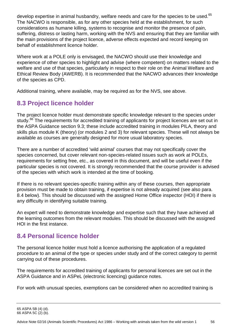develop expertise in animal husbandry, welfare needs and care for the species to be used.<sup>65</sup> The NACWO is responsible, as for any other species held at the establishment, for such considerations as humane killing, systems to recognise and monitor the presence of pain, suffering, distress or lasting harm, working with the NVS and ensuring that they are familiar with the main provisions of the project licence, adverse effects expected and record keeping on behalf of establishment licence holder.

Where work at a POLE only is envisaged, the NACWO should use their knowledge and experience of other species to highlight and advise (where competent) on matters related to the welfare and use of that species, particularly in respect to their role on the Animal Welfare and Ethical Review Body (AWERB). It is recommended that the NACWO advances their knowledge of the species as CPD.

Additional training, where available, may be required as for the NVS, see above.

#### **8.3 Project licence holder**

The project licence holder must demonstrate specific knowledge relevant to the species under study.<sup>66</sup> The requirements for accredited training of applicants for project licences are set out in the ASPA Guidance section 9.3; these include accredited training in modules PILA, theory and skills plus module K (theory) (or modules 2 and 3) for relevant species. These will not always be available as courses are generally designed for more usual laboratory species.

There are a number of accredited 'wild animal' courses that may not specifically cover the species concerned, but cover relevant non-species-related issues such as work at POLEs, requirements for setting free, etc., as covered in this document, and will be useful even if the particular species is not covered. It is strongly recommended that the course provider is advised of the species with which work is intended at the time of booking.

If there is no relevant species-specific training within any of these courses, then appropriate provision must be made to obtain training, if expertise is not already acquired (see also para. 8.4 below). This should be discussed with the assigned Home Office inspector (HOI) if there is any difficulty in identifying suitable training.

An expert will need to demonstrate knowledge and expertise such that they have achieved all the learning outcomes from the relevant modules. This should be discussed with the assigned HOI in the first instance.

#### **8.4 Personal licence holder**

The personal licence holder must hold a licence authorising the application of a regulated procedure to an animal of the type or species under study and of the correct category to permit carrying out of these procedures.

The requirements for accredited training of applicants for personal licences are set out in the ASPA Guidance and in ASPeL (electronic licencing) guidance notes.

For work with unusual species, exemptions can be considered when no accredited training is

<sup>65</sup> ASPA 5B (4) (d).

<sup>66</sup> ASPA 5C (2) (b).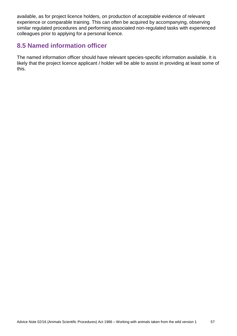available, as for project licence holders, on production of acceptable evidence of relevant experience or comparable training. This can often be acquired by accompanying, observing similar regulated procedures and performing associated non-regulated tasks with experienced colleagues prior to applying for a personal licence.

#### **8.5 Named information officer**

The named information officer should have relevant species-specific information available. It is likely that the project licence applicant / holder will be able to assist in providing at least some of this.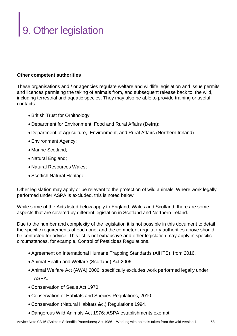## 9. Other legislation

#### **Other competent authorities**

These organisations and / or agencies regulate welfare and wildlife legislation and issue permits and licences permitting the taking of animals from, and subsequent release back to, the wild, including terrestrial and aquatic species. They may also be able to provide training or useful contacts:

- British Trust for Ornithology;
- Department for Environment, Food and Rural Affairs (Defra);
- Department of Agriculture, Environment, and Rural Affairs (Northern Ireland)
- Environment Agency;
- Marine Scotland;
- Natural England;
- Natural Resources Wales;
- Scottish Natural Heritage.

Other legislation may apply or be relevant to the protection of wild animals. Where work legally performed under ASPA is excluded, this is noted below.

While some of the Acts listed below apply to England, Wales and Scotland, there are some aspects that are covered by different legislation in Scotland and Northern Ireland.

Due to the number and complexity of the legislation it is not possible in this document to detail the specific requirements of each one, and the competent regulatory authorities above should be contacted for advice. This list is not exhaustive and other legislation may apply in specific circumstances, for example, Control of Pesticides Regulations.

- Agreement on International Humane Trapping Standards (AIHTS), from 2016.
- Animal Health and Welfare (Scotland) Act 2006.
- Animal Welfare Act (AWA) 2006: specifically excludes work performed legally under ASPA.
- Conservation of Seals Act 1970.
- Conservation of Habitats and Species Regulations, 2010.
- Conservation (Natural Habitats &c.) Regulations 1994.
- Dangerous Wild Animals Act 1976: ASPA establishments exempt.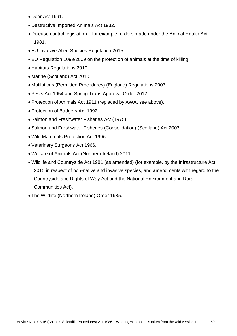- Deer Act 1991.
- Destructive Imported Animals Act 1932.
- Disease control legislation for example, orders made under the Animal Health Act 1981.
- EU Invasive Alien Species Regulation 2015.
- EU Regulation 1099/2009 on the protection of animals at the time of killing.
- Habitats Regulations 2010.
- Marine (Scotland) Act 2010.
- Mutilations (Permitted Procedures) (England) Regulations 2007.
- Pests Act 1954 and Spring Traps Approval Order 2012.
- Protection of Animals Act 1911 (replaced by AWA, see above).
- Protection of Badgers Act 1992.
- Salmon and Freshwater Fisheries Act (1975).
- Salmon and Freshwater Fisheries (Consolidation) (Scotland) Act 2003.
- Wild Mammals Protection Act 1996.
- Veterinary Surgeons Act 1966.
- Welfare of Animals Act (Northern Ireland) 2011.
- Wildlife and Countryside Act 1981 (as amended) (for example, by the Infrastructure Act 2015 in respect of non-native and invasive species, and amendments with regard to the Countryside and Rights of Way Act and the National Environment and Rural Communities Act).
- The Wildlife (Northern Ireland) Order 1985.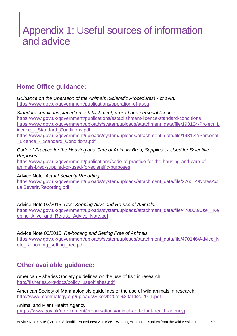### Appendix 1: Useful sources of information and advice

#### **Home Office guidance:**

*Guidance on the Operation of the Animals (Scientific Procedures) Act 1986* <https://www.gov.uk/government/publications/operation-of-aspa>

*Standard conditions placed on establishment, project and personal licences* <https://www.gov.uk/government/publications/establishment-licence-standard-conditions> [https://www.gov.uk/government/uploads/system/uploads/attachment\\_data/file/193124/Project\\_L](https://www.gov.uk/government/uploads/system/uploads/attachment_data/file/193124/Project_Licence_-_Standard_Conditions.pdf) icence - Standard Conditions.pdf [https://www.gov.uk/government/uploads/system/uploads/attachment\\_data/file/193122/Personal](https://www.gov.uk/government/uploads/system/uploads/attachment_data/file/193122/Personal_Licence_-_Standard_Conditions.pdf)

Licence - Standard Conditions.pdf

*Code of Practice for the Housing and Care of Animals Bred, Supplied or Used for Scientific Purposes*

[https://www.gov.uk/government/publications/code-of-practice-for-the-housing-and-care-of](https://www.gov.uk/government/publications/code-of-practice-for-the-housing-and-care-of-animals-bred-supplied-or-used-for-scientific-purposes)[animals-bred-supplied-or-used-for-scientific-purposes](https://www.gov.uk/government/publications/code-of-practice-for-the-housing-and-care-of-animals-bred-supplied-or-used-for-scientific-purposes)

#### Advice Note: *Actual Severity Reporting*

[https://www.gov.uk/government/uploads/system/uploads/attachment\\_data/file/276014/NotesAct](https://www.gov.uk/government/uploads/system/uploads/attachment_data/file/276014/NotesActualSeverityReporting.pdf) [ualSeverityReporting.pdf](https://www.gov.uk/government/uploads/system/uploads/attachment_data/file/276014/NotesActualSeverityReporting.pdf)

Advice Note 02/2015: *Use, Keeping Alive and Re-use of Animals*. https://www.gov.uk/government/uploads/system/uploads/attachment\_data/file/470008/Use\_Ke [eping\\_Alive\\_and\\_Re-use\\_Advice\\_Note.pdf](https://www.gov.uk/government/uploads/system/uploads/attachment_data/file/470008/Use__Keeping_Alive_and_Re-use_Advice_Note.pdf)

Advice Note 03/2015: *Re-homing and Setting Free of Animals* [https://www.gov.uk/government/uploads/system/uploads/attachment\\_data/file/470146/Advice\\_N](https://www.gov.uk/government/uploads/system/uploads/attachment_data/file/470146/Advice_Note_Rehoming_setting_free.pdf) [ote\\_Rehoming\\_setting\\_free.pdf](https://www.gov.uk/government/uploads/system/uploads/attachment_data/file/470146/Advice_Note_Rehoming_setting_free.pdf)

#### **Other available guidance:**

American Fisheries Society guidelines on the use of fish in research [http://fisheries.org/docs/policy\\_useoffishes.pdf](http://fisheries.org/docs/policy_useoffishes.pdf)

American Society of Mammologists guidelines of the use of wild animals in research <http://www.mammalogy.org/uploads/Sikes%20et%20al%202011.pdf>

Animal and Plant Health Agency [\(https://www.gov.uk/government/organisations/animal-and-plant-health-agency\)](https://www.gov.uk/government/organisations/animal-and-plant-health-agency)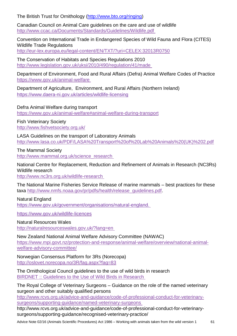The British Trust for Ornithology [\(http://www.bto.org/ringing\)](http://www.bto.org/ringing)

Canadian Council on Animal Care guidelines on the care and use of wildlife <http://www.ccac.ca/Documents/Standards/Guidelines/Wildlife.pdf>

Convention on International Trade in Endangered Species of Wild Fauna and Flora (CITES) Wildlife Trade Regulations <http://eur-lex.europa.eu/legal-content/EN/TXT/?uri=CELEX:32013R0750>

The Conservation of Habitats and Species Regulations 2010 <http://www.legislation.gov.uk/uksi/2010/490/regulation/41/made>

Department of Environment, Food and Rural Affairs (Defra) Animal Welfare Codes of Practice <https://www.gov.uk/animal-welfare>

Department of Agriculture, Environment, and Rural Affairs (Northern Ireland) <https://www.daera-ni.gov.uk/articles/wildlife-licensing>

Defra Animal Welfare during transport

<https://www.gov.uk/animal-welfare#animal-welfare-during-transport>

Fish Veterinary Society <http://www.fishvetsociety.org.uk/>

LASA Guidelines on the transport of Laboratory Animals [http://www.lasa.co.uk/PDF/LASA%20Transport%20of%20Lab%20Animals%20\(UK\)%202.pdf](http://www.lasa.co.uk/PDF/LASA%20Transport%20of%20Lab%20Animals%20(UK)%202.pdf)

The Mammal Society [http://www.mammal.org.uk/science\\_research](http://www.mammal.org.uk/science_research)

National Centre for Replacement, Reduction and Refinement of Animals in Research (NC3Rs) Wildlife research

<http://www.nc3rs.org.uk/wildlife-research>

The National Marine Fisheries Service Release of marine mammals – best practices for these taxa [http://www.nmfs.noaa.gov/pr/pdfs/health/release\\_guidelines.pdf.](http://www.nmfs.noaa.gov/pr/pdfs/health/release_guidelines.pdf)

Natural England <https://www.gov.uk/government/organisations/natural-england.>

<https://www.gov.uk/wildlife-licences>

Natural Resources Wales <http://naturalresourceswales.gov.uk/?lang=en>

New Zealand National Animal Welfare Advisory Committee (NAWAC) [https://www.mpi.govt.nz/protection-and-response/animal-welfare/overview/national-animal](https://www.mpi.govt.nz/protection-and-response/animal-welfare/overview/national-animal-welfare-advisory-committee/)[welfare-advisory-committee/](https://www.mpi.govt.nz/protection-and-response/animal-welfare/overview/national-animal-welfare-advisory-committee/)

Norwegian Consensus Platform for 3Rs (Norecopa) <http://oslovet.norecopa.no/3R/fag.aspx?fag=83>

The Ornithological Council guidelines to the use of wild birds in research [BIRDNET :: Guidelines to the Use of Wild Birds in Research](http://www.nmnh.si.edu/BIRDNET/guide)

The Royal College of Veterinary Surgeons – Guidance on the role of the named veterinary surgeon and other suitably qualified persons

[http://www.rcvs.org.uk/advice-and-guidance/code-of-professional-conduct-for-veterinary](http://www.rcvs.org.uk/advice-and-guidance/code-of-professional-conduct-for-veterinary-surgeons/supporting-guidance/named-veterinary-surgeons)[surgeons/supporting-guidance/named-veterinary-surgeons](http://www.rcvs.org.uk/advice-and-guidance/code-of-professional-conduct-for-veterinary-surgeons/supporting-guidance/named-veterinary-surgeons)

http://www.rcvs.org.uk/advice-and-guidance/code-of-professional-conduct-for-veterinarysurgeons/supporting-guidance/recognised-veterinary-practice/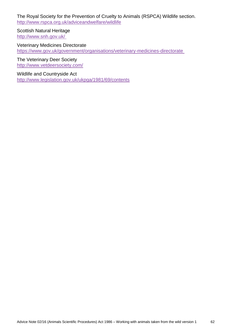The Royal Society for the Prevention of Cruelty to Animals (RSPCA) Wildlife section. <http://www.rspca.org.uk/adviceandwelfare/wildlife>

Scottish Natural Heritage <http://www.snh.gov.uk/>

Veterinary Medicines Directorate <https://www.gov.uk/government/organisations/veterinary-medicines-directorate>

The Veterinary Deer Society <http://www.vetdeersociety.com/>

Wildlife and Countryside Act

<http://www.legislation.gov.uk/ukpga/1981/69/contents>